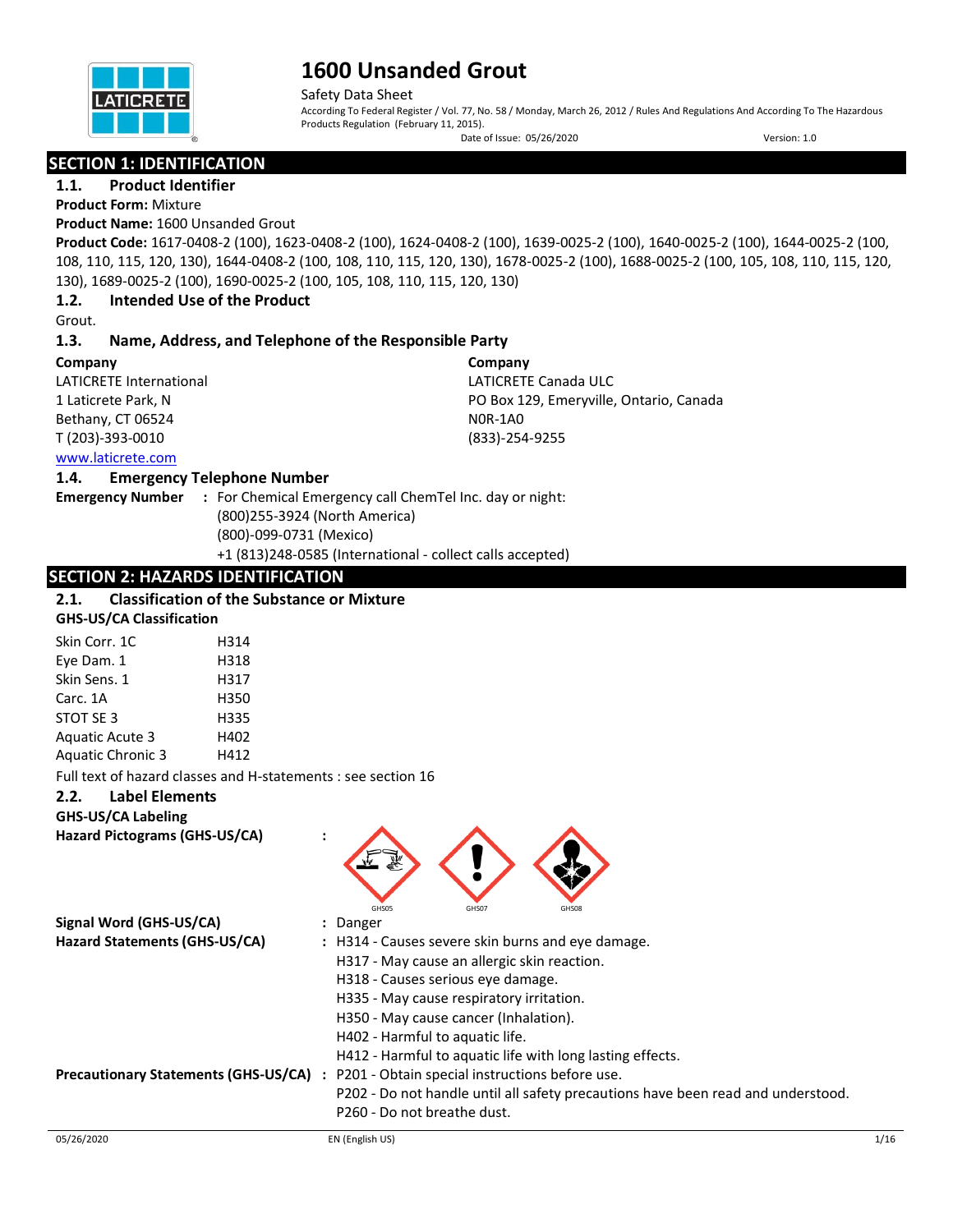

Safety Data Sheet

According To Federal Register / Vol. 77, No. 58 / Monday, March 26, 2012 / Rules And Regulations And According To The Hazardous Products Regulation (February 11, 2015). Date of Issue: 05/26/2020 Version: 1.0

## **SECTION 1: IDENTIFICATION**

**1.1. Product Identifier**

## **Product Form:** Mixture

## **Product Name:** 1600 Unsanded Grout

**Product Code:** 1617-0408-2 (100), 1623-0408-2 (100), 1624-0408-2 (100), 1639-0025-2 (100), 1640-0025-2 (100), 1644-0025-2 (100, 108, 110, 115, 120, 130), 1644-0408-2 (100, 108, 110, 115, 120, 130), 1678-0025-2 (100), 1688-0025-2 (100, 105, 108, 110, 115, 120, 130), 1689-0025-2 (100), 1690-0025-2 (100, 105, 108, 110, 115, 120, 130)

**Company**

N0R-1A0 (833)-254-9255

LATICRETE Canada ULC

PO Box 129, Emeryville, Ontario, Canada

### **1.2. Intended Use of the Product**

Grout.

### **1.3. Name, Address, and Telephone of the Responsible Party**

### **Company**

LATICRETE International 1 Laticrete Park, N Bethany, CT 06524 T (203)-393-0010 [www.laticrete.com](http://www.laticrete.com/) 

### **1.4. Emergency Telephone Number**

**Emergency Number :** For Chemical Emergency call ChemTel Inc. day or night: (800)255-3924 (North America) (800)-099-0731 (Mexico) +1 (813)248-0585 (International - collect calls accepted)

## **SECTION 2: HAZARDS IDENTIFICATION**

#### **2.1. Classification of the Substance or Mixture GHS-US/CA Classification**

| <u>UNU OUTER CROSSING CONTROL</u> |      |
|-----------------------------------|------|
| Skin Corr. 1C                     | H314 |
| Eye Dam. 1                        | H318 |
| Skin Sens. 1                      | H317 |
| Carc. 1A                          | H350 |
| STOT SE 3                         | H335 |
| <b>Aguatic Acute 3</b>            | H402 |
| <b>Aquatic Chronic 3</b>          | H412 |

Full text of hazard classes and H-statements : see section 16

## **2.2. Label Elements**

**GHS-US/CA Labeling**

**Hazard Pictograms (GHS-US/CA) :**

| Signal Word (GHS-US/CA)                     | GHS05<br>GHS07<br>GHS08<br>: Danger                                              |      |  |  |  |
|---------------------------------------------|----------------------------------------------------------------------------------|------|--|--|--|
| Hazard Statements (GHS-US/CA)               | : H314 - Causes severe skin burns and eye damage.                                |      |  |  |  |
|                                             | H317 - May cause an allergic skin reaction.<br>H318 - Causes serious eye damage. |      |  |  |  |
|                                             |                                                                                  |      |  |  |  |
|                                             | H335 - May cause respiratory irritation.                                         |      |  |  |  |
|                                             | H350 - May cause cancer (Inhalation).                                            |      |  |  |  |
|                                             | H402 - Harmful to aquatic life.                                                  |      |  |  |  |
|                                             | H412 - Harmful to aquatic life with long lasting effects.                        |      |  |  |  |
| <b>Precautionary Statements (GHS-US/CA)</b> | : P201 - Obtain special instructions before use.                                 |      |  |  |  |
|                                             | P202 - Do not handle until all safety precautions have been read and understood. |      |  |  |  |
|                                             | P260 - Do not breathe dust.                                                      |      |  |  |  |
| 05/26/2020                                  | EN (English US)                                                                  | 1/16 |  |  |  |

 $\bigotimes$   $\bigotimes$   $\bigotimes$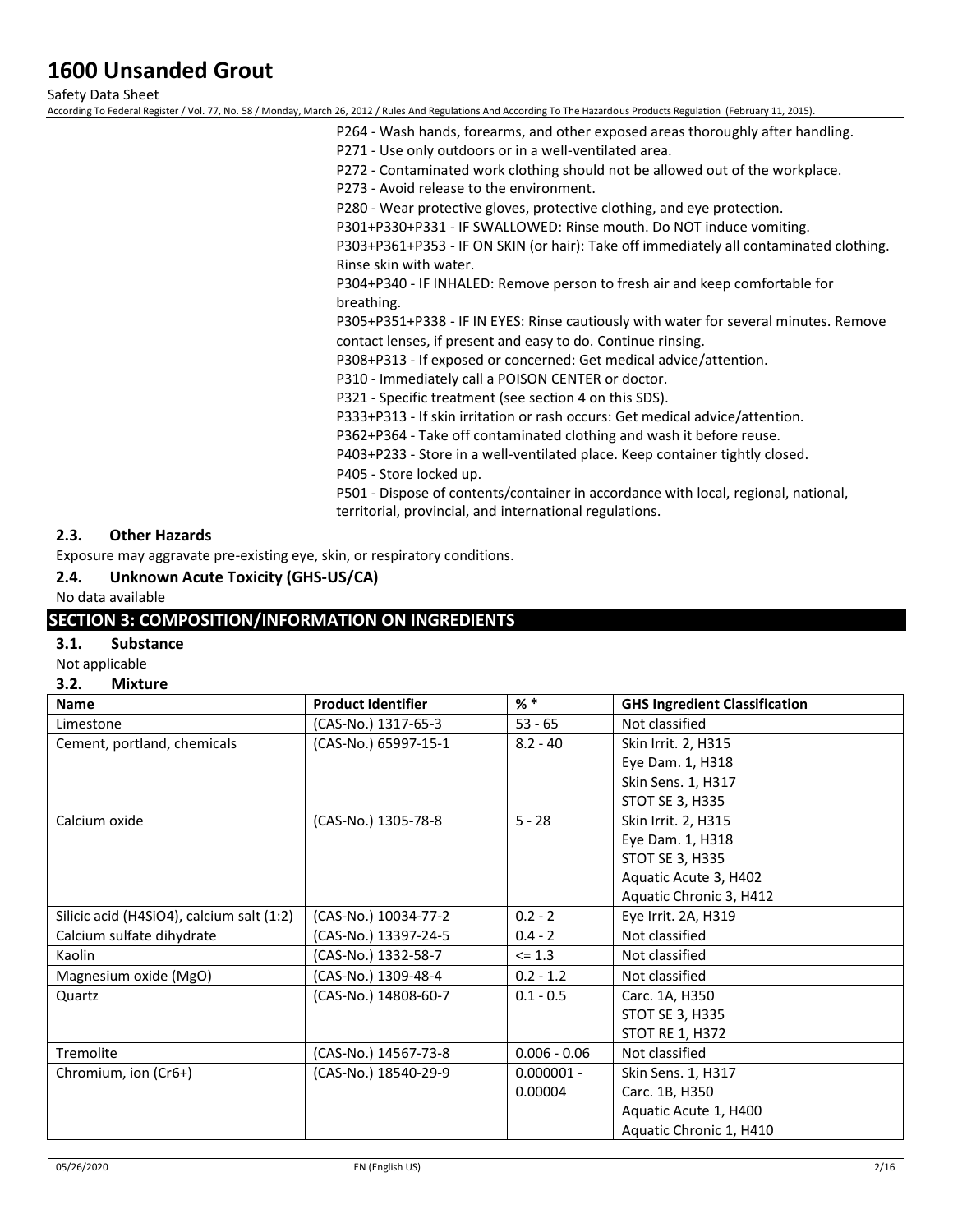Safety Data Sheet

According To Federal Register / Vol. 77, No. 58 / Monday, March 26, 2012 / Rules And Regulations And According To The Hazardous Products Regulation (February 11, 2015).

- P264 Wash hands, forearms, and other exposed areas thoroughly after handling.
- P271 Use only outdoors or in a well-ventilated area.
- P272 Contaminated work clothing should not be allowed out of the workplace.
- P273 Avoid release to the environment.

P280 - Wear protective gloves, protective clothing, and eye protection.

P301+P330+P331 - IF SWALLOWED: Rinse mouth. Do NOT induce vomiting.

P303+P361+P353 - IF ON SKIN (or hair): Take off immediately all contaminated clothing. Rinse skin with water.

P304+P340 - IF INHALED: Remove person to fresh air and keep comfortable for breathing.

P305+P351+P338 - IF IN EYES: Rinse cautiously with water for several minutes. Remove contact lenses, if present and easy to do. Continue rinsing.

P308+P313 - If exposed or concerned: Get medical advice/attention.

P310 - Immediately call a POISON CENTER or doctor.

P321 - Specific treatment (see section 4 on this SDS).

P333+P313 - If skin irritation or rash occurs: Get medical advice/attention.

P362+P364 - Take off contaminated clothing and wash it before reuse.

P403+P233 - Store in a well-ventilated place. Keep container tightly closed.

P405 - Store locked up.

P501 - Dispose of contents/container in accordance with local, regional, national, territorial, provincial, and international regulations.

### **2.3. Other Hazards**

Exposure may aggravate pre-existing eye, skin, or respiratory conditions.

### **2.4. Unknown Acute Toxicity (GHS-US/CA)**

No data available

### **SECTION 3: COMPOSITION/INFORMATION ON INGREDIENTS**

### **3.1. Substance**

### Not applicable

**3.2. Mixture**

| <b>Name</b>                               | <b>Product Identifier</b> | $%$ *          | <b>GHS Ingredient Classification</b> |
|-------------------------------------------|---------------------------|----------------|--------------------------------------|
| Limestone                                 | (CAS-No.) 1317-65-3       | $53 - 65$      | Not classified                       |
| Cement, portland, chemicals               | (CAS-No.) 65997-15-1      | $8.2 - 40$     | Skin Irrit. 2, H315                  |
|                                           |                           |                | Eye Dam. 1, H318                     |
|                                           |                           |                | Skin Sens. 1, H317                   |
|                                           |                           |                | STOT SE 3, H335                      |
| Calcium oxide                             | (CAS-No.) 1305-78-8       | $5 - 28$       | Skin Irrit. 2, H315                  |
|                                           |                           |                | Eye Dam. 1, H318                     |
|                                           |                           |                | <b>STOT SE 3, H335</b>               |
|                                           |                           |                | Aquatic Acute 3, H402                |
|                                           |                           |                | Aquatic Chronic 3, H412              |
| Silicic acid (H4SiO4), calcium salt (1:2) | (CAS-No.) 10034-77-2      | $0.2 - 2$      | Eye Irrit. 2A, H319                  |
| Calcium sulfate dihydrate                 | (CAS-No.) 13397-24-5      | $0.4 - 2$      | Not classified                       |
| Kaolin                                    | (CAS-No.) 1332-58-7       | $\leq 1.3$     | Not classified                       |
| Magnesium oxide (MgO)                     | (CAS-No.) 1309-48-4       | $0.2 - 1.2$    | Not classified                       |
| Quartz                                    | (CAS-No.) 14808-60-7      | $0.1 - 0.5$    | Carc. 1A, H350                       |
|                                           |                           |                | STOT SE 3, H335                      |
|                                           |                           |                | STOT RE 1, H372                      |
| Tremolite                                 | (CAS-No.) 14567-73-8      | $0.006 - 0.06$ | Not classified                       |
| Chromium, ion (Cr6+)                      | (CAS-No.) 18540-29-9      | $0.000001 -$   | Skin Sens. 1, H317                   |
|                                           |                           | 0.00004        | Carc. 1B, H350                       |
|                                           |                           |                | Aquatic Acute 1, H400                |
|                                           |                           |                | Aquatic Chronic 1, H410              |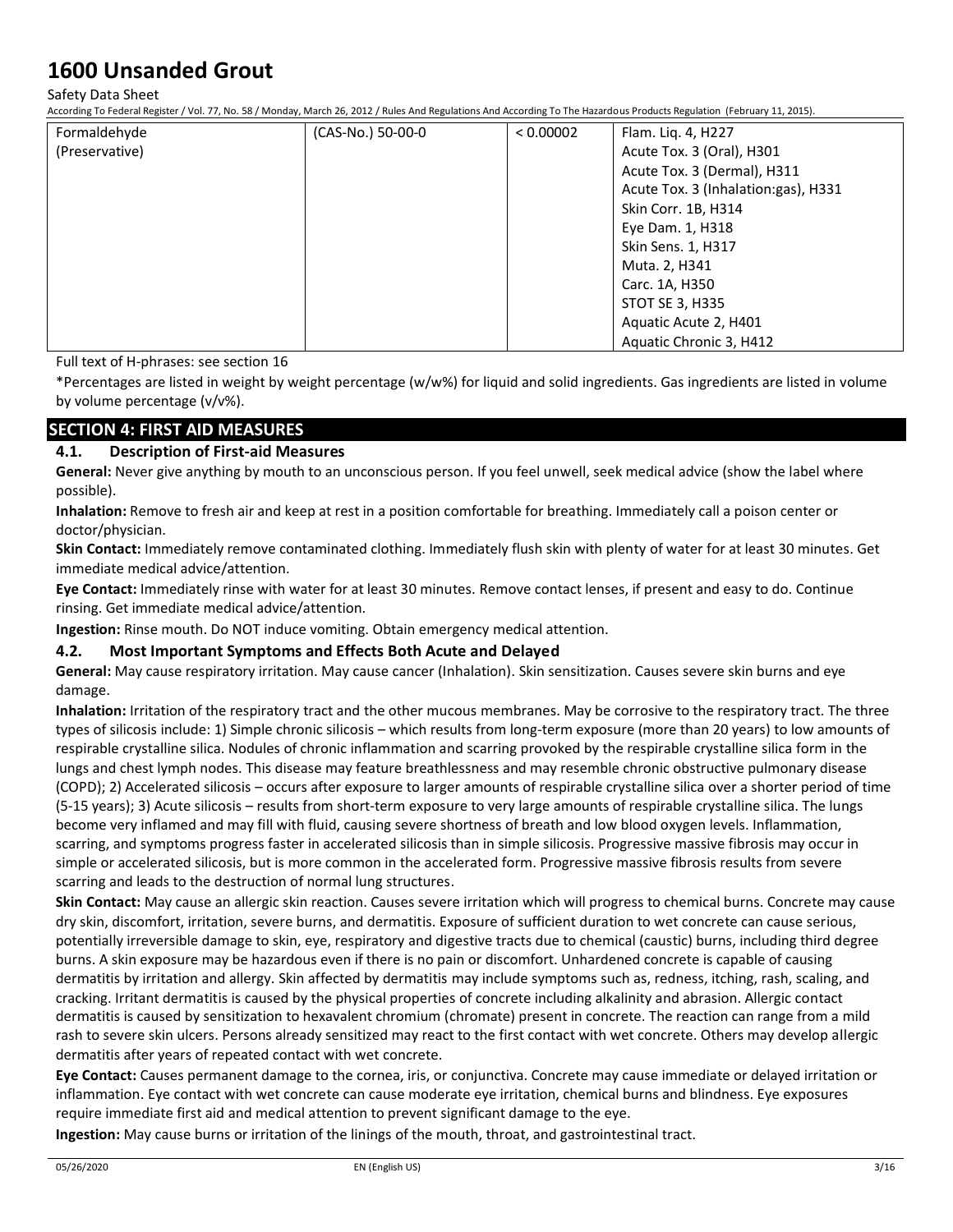Safety Data Sheet

According To Federal Register / Vol. 77, No. 58 / Monday, March 26, 2012 / Rules And Regulations And According To The Hazardous Products Regulation (February 11, 2015).

| Formaldehyde   | (CAS-No.) 50-00-0 | < 0.00002 | Flam. Liq. 4, H227                  |
|----------------|-------------------|-----------|-------------------------------------|
| (Preservative) |                   |           | Acute Tox. 3 (Oral), H301           |
|                |                   |           | Acute Tox. 3 (Dermal), H311         |
|                |                   |           | Acute Tox. 3 (Inhalation:gas), H331 |
|                |                   |           | Skin Corr. 1B, H314                 |
|                |                   |           | Eye Dam. 1, H318                    |
|                |                   |           | Skin Sens. 1, H317                  |
|                |                   |           | Muta. 2, H341                       |
|                |                   |           | Carc. 1A, H350                      |
|                |                   |           | STOT SE 3, H335                     |
|                |                   |           | Aquatic Acute 2, H401               |
|                |                   |           | Aquatic Chronic 3, H412             |

Full text of H-phrases: see section 16

\*Percentages are listed in weight by weight percentage (w/w%) for liquid and solid ingredients. Gas ingredients are listed in volume by volume percentage (v/v%).

## **SECTION 4: FIRST AID MEASURES**

### **4.1. Description of First-aid Measures**

**General:** Never give anything by mouth to an unconscious person. If you feel unwell, seek medical advice (show the label where possible).

**Inhalation:** Remove to fresh air and keep at rest in a position comfortable for breathing. Immediately call a poison center or doctor/physician.

**Skin Contact:** Immediately remove contaminated clothing. Immediately flush skin with plenty of water for at least 30 minutes. Get immediate medical advice/attention.

**Eye Contact:** Immediately rinse with water for at least 30 minutes. Remove contact lenses, if present and easy to do. Continue rinsing. Get immediate medical advice/attention.

**Ingestion:** Rinse mouth. Do NOT induce vomiting. Obtain emergency medical attention.

### **4.2. Most Important Symptoms and Effects Both Acute and Delayed**

**General:** May cause respiratory irritation. May cause cancer (Inhalation). Skin sensitization. Causes severe skin burns and eye damage.

**Inhalation:** Irritation of the respiratory tract and the other mucous membranes. May be corrosive to the respiratory tract. The three types of silicosis include: 1) Simple chronic silicosis – which results from long-term exposure (more than 20 years) to low amounts of respirable crystalline silica. Nodules of chronic inflammation and scarring provoked by the respirable crystalline silica form in the lungs and chest lymph nodes. This disease may feature breathlessness and may resemble chronic obstructive pulmonary disease (COPD); 2) Accelerated silicosis – occurs after exposure to larger amounts of respirable crystalline silica over a shorter period of time (5-15 years); 3) Acute silicosis – results from short-term exposure to very large amounts of respirable crystalline silica. The lungs become very inflamed and may fill with fluid, causing severe shortness of breath and low blood oxygen levels. Inflammation, scarring, and symptoms progress faster in accelerated silicosis than in simple silicosis. Progressive massive fibrosis may occur in simple or accelerated silicosis, but is more common in the accelerated form. Progressive massive fibrosis results from severe scarring and leads to the destruction of normal lung structures.

**Skin Contact:** May cause an allergic skin reaction. Causes severe irritation which will progress to chemical burns. Concrete may cause dry skin, discomfort, irritation, severe burns, and dermatitis. Exposure of sufficient duration to wet concrete can cause serious, potentially irreversible damage to skin, eye, respiratory and digestive tracts due to chemical (caustic) burns, including third degree burns. A skin exposure may be hazardous even if there is no pain or discomfort. Unhardened concrete is capable of causing dermatitis by irritation and allergy. Skin affected by dermatitis may include symptoms such as, redness, itching, rash, scaling, and cracking. Irritant dermatitis is caused by the physical properties of concrete including alkalinity and abrasion. Allergic contact dermatitis is caused by sensitization to hexavalent chromium (chromate) present in concrete. The reaction can range from a mild rash to severe skin ulcers. Persons already sensitized may react to the first contact with wet concrete. Others may develop allergic dermatitis after years of repeated contact with wet concrete.

**Eye Contact:** Causes permanent damage to the cornea, iris, or conjunctiva. Concrete may cause immediate or delayed irritation or inflammation. Eye contact with wet concrete can cause moderate eye irritation, chemical burns and blindness. Eye exposures require immediate first aid and medical attention to prevent significant damage to the eye.

**Ingestion:** May cause burns or irritation of the linings of the mouth, throat, and gastrointestinal tract.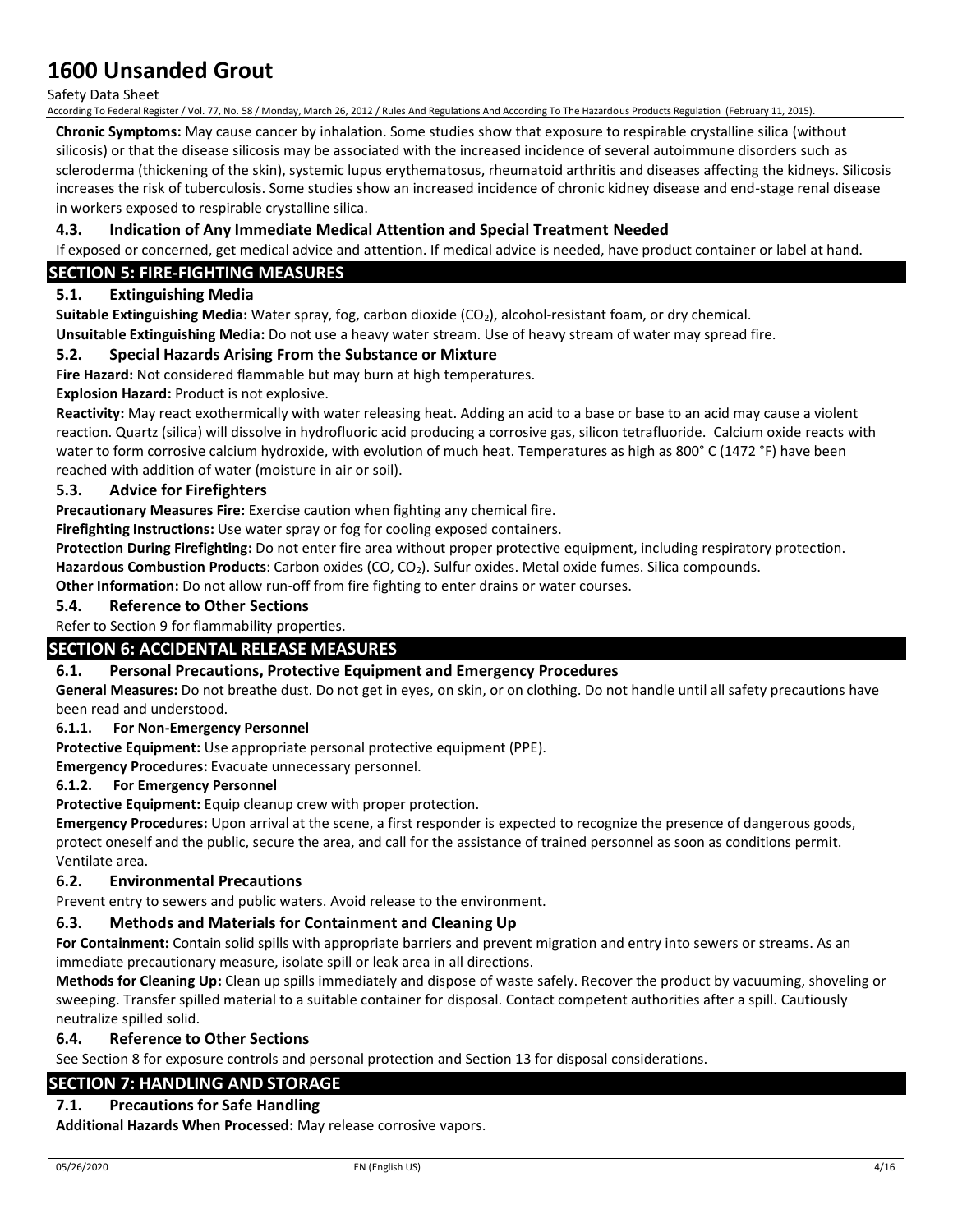### Safety Data Sheet

According To Federal Register / Vol. 77, No. 58 / Monday, March 26, 2012 / Rules And Regulations And According To The Hazardous Products Regulation (February 11, 2015).

**Chronic Symptoms:** May cause cancer by inhalation. Some studies show that exposure to respirable crystalline silica (without silicosis) or that the disease silicosis may be associated with the increased incidence of several autoimmune disorders such as scleroderma (thickening of the skin), systemic lupus erythematosus, rheumatoid arthritis and diseases affecting the kidneys. Silicosis increases the risk of tuberculosis. Some studies show an increased incidence of chronic kidney disease and end-stage renal disease in workers exposed to respirable crystalline silica.

### **4.3. Indication of Any Immediate Medical Attention and Special Treatment Needed**

If exposed or concerned, get medical advice and attention. If medical advice is needed, have product container or label at hand.

### **SECTION 5: FIRE-FIGHTING MEASURES**

### **5.1. Extinguishing Media**

**Suitable Extinguishing Media:** Water spray, fog, carbon dioxide (CO<sub>2</sub>), alcohol-resistant foam, or dry chemical.

**Unsuitable Extinguishing Media:** Do not use a heavy water stream. Use of heavy stream of water may spread fire.

### **5.2. Special Hazards Arising From the Substance or Mixture**

**Fire Hazard:** Not considered flammable but may burn at high temperatures.

**Explosion Hazard:** Product is not explosive.

**Reactivity:** May react exothermically with water releasing heat. Adding an acid to a base or base to an acid may cause a violent reaction. Quartz (silica) will dissolve in hydrofluoric acid producing a corrosive gas, silicon tetrafluoride. Calcium oxide reacts with water to form corrosive calcium hydroxide, with evolution of much heat. Temperatures as high as 800° C (1472 °F) have been reached with addition of water (moisture in air or soil).

### **5.3. Advice for Firefighters**

**Precautionary Measures Fire:** Exercise caution when fighting any chemical fire.

**Firefighting Instructions:** Use water spray or fog for cooling exposed containers.

**Protection During Firefighting:** Do not enter fire area without proper protective equipment, including respiratory protection. Hazardous Combustion Products: Carbon oxides (CO, CO<sub>2</sub>). Sulfur oxides. Metal oxide fumes. Silica compounds.

**Other Information:** Do not allow run-off from fire fighting to enter drains or water courses.

### **5.4. Reference to Other Sections**

Refer to Section 9 for flammability properties.

### **SECTION 6: ACCIDENTAL RELEASE MEASURES**

### **6.1. Personal Precautions, Protective Equipment and Emergency Procedures**

**General Measures:** Do not breathe dust. Do not get in eyes, on skin, or on clothing. Do not handle until all safety precautions have been read and understood.

### **6.1.1. For Non-Emergency Personnel**

**Protective Equipment:** Use appropriate personal protective equipment (PPE).

**Emergency Procedures:** Evacuate unnecessary personnel.

### **6.1.2. For Emergency Personnel**

**Protective Equipment:** Equip cleanup crew with proper protection.

**Emergency Procedures:** Upon arrival at the scene, a first responder is expected to recognize the presence of dangerous goods, protect oneself and the public, secure the area, and call for the assistance of trained personnel as soon as conditions permit. Ventilate area.

### **6.2. Environmental Precautions**

Prevent entry to sewers and public waters. Avoid release to the environment.

### **6.3. Methods and Materials for Containment and Cleaning Up**

**For Containment:** Contain solid spills with appropriate barriers and prevent migration and entry into sewers or streams. As an immediate precautionary measure, isolate spill or leak area in all directions.

**Methods for Cleaning Up:** Clean up spills immediately and dispose of waste safely. Recover the product by vacuuming, shoveling or sweeping. Transfer spilled material to a suitable container for disposal. Contact competent authorities after a spill. Cautiously neutralize spilled solid.

### **6.4. Reference to Other Sections**

See Section 8 for exposure controls and personal protection and Section 13 for disposal considerations.

## **SECTION 7: HANDLING AND STORAGE**

## **7.1. Precautions for Safe Handling**

**Additional Hazards When Processed:** May release corrosive vapors.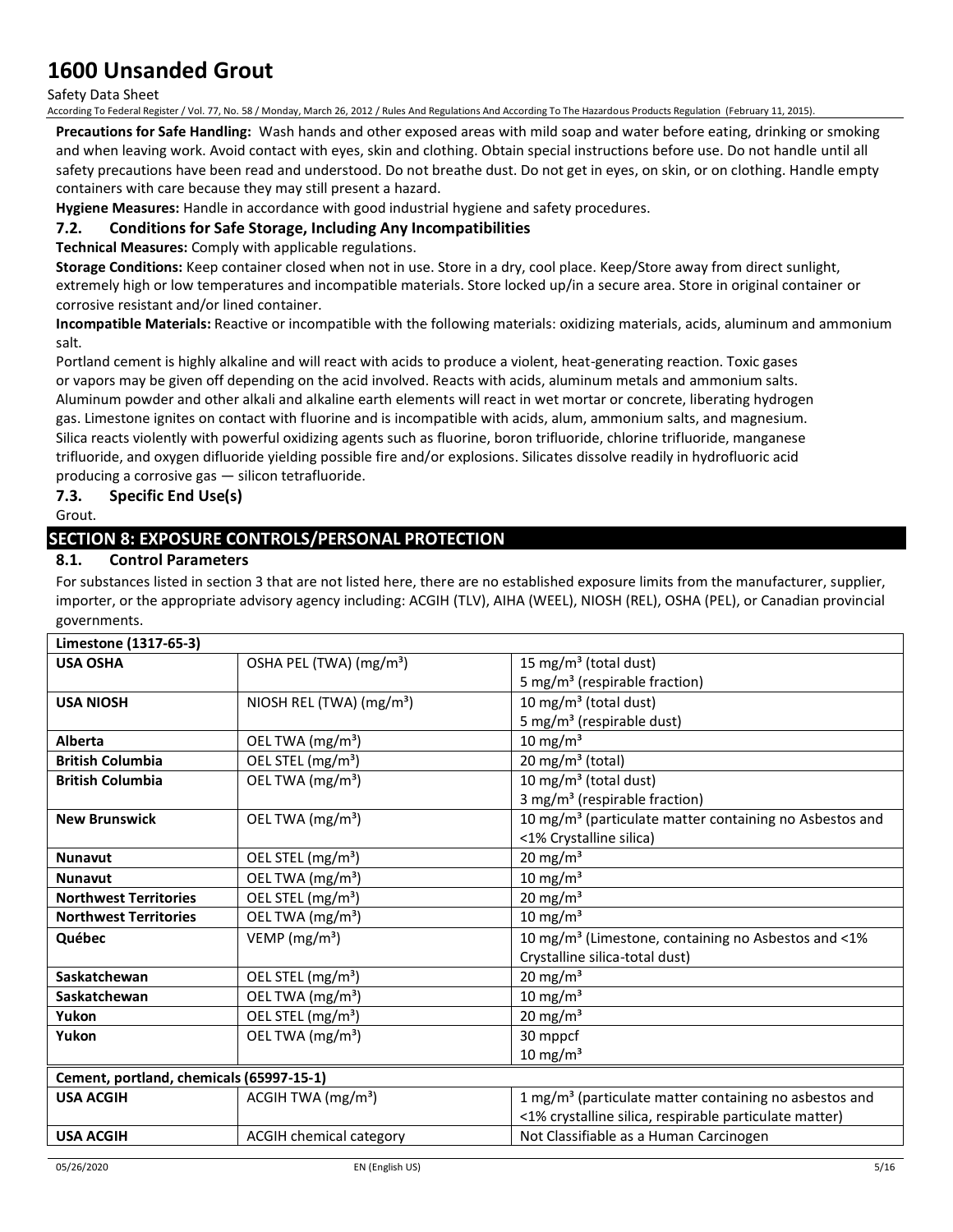Safety Data Sheet

According To Federal Register / Vol. 77, No. 58 / Monday, March 26, 2012 / Rules And Regulations And According To The Hazardous Products Regulation (February 11, 2015).

**Precautions for Safe Handling:** Wash hands and other exposed areas with mild soap and water before eating, drinking or smoking and when leaving work. Avoid contact with eyes, skin and clothing. Obtain special instructions before use. Do not handle until all safety precautions have been read and understood. Do not breathe dust. Do not get in eyes, on skin, or on clothing. Handle empty containers with care because they may still present a hazard.

**Hygiene Measures:** Handle in accordance with good industrial hygiene and safety procedures.

### **7.2. Conditions for Safe Storage, Including Any Incompatibilities**

**Technical Measures:** Comply with applicable regulations.

**Storage Conditions:** Keep container closed when not in use. Store in a dry, cool place. Keep/Store away from direct sunlight, extremely high or low temperatures and incompatible materials. Store locked up/in a secure area. Store in original container or corrosive resistant and/or lined container.

**Incompatible Materials:** Reactive or incompatible with the following materials: oxidizing materials, acids, aluminum and ammonium salt.

Portland cement is highly alkaline and will react with acids to produce a violent, heat-generating reaction. Toxic gases or vapors may be given off depending on the acid involved. Reacts with acids, aluminum metals and ammonium salts. Aluminum powder and other alkali and alkaline earth elements will react in wet mortar or concrete, liberating hydrogen gas. Limestone ignites on contact with fluorine and is incompatible with acids, alum, ammonium salts, and magnesium. Silica reacts violently with powerful oxidizing agents such as fluorine, boron trifluoride, chlorine trifluoride, manganese trifluoride, and oxygen difluoride yielding possible fire and/or explosions. Silicates dissolve readily in hydrofluoric acid producing a corrosive gas — silicon tetrafluoride.

## **7.3. Specific End Use(s)**

Grout.

## **SECTION 8: EXPOSURE CONTROLS/PERSONAL PROTECTION**

### **8.1. Control Parameters**

For substances listed in section 3 that are not listed here, there are no established exposure limits from the manufacturer, supplier, importer, or the appropriate advisory agency including: ACGIH (TLV), AIHA (WEEL), NIOSH (REL), OSHA (PEL), or Canadian provincial governments.

| Limestone (1317-65-3)                    |                                      |                                                                     |
|------------------------------------------|--------------------------------------|---------------------------------------------------------------------|
| <b>USA OSHA</b>                          | OSHA PEL (TWA) (mg/m <sup>3</sup> )  | 15 mg/m <sup>3</sup> (total dust)                                   |
|                                          |                                      | 5 mg/m <sup>3</sup> (respirable fraction)                           |
| <b>USA NIOSH</b>                         | NIOSH REL (TWA) (mg/m <sup>3</sup> ) | 10 mg/m <sup>3</sup> (total dust)                                   |
|                                          |                                      | 5 mg/m <sup>3</sup> (respirable dust)                               |
| Alberta                                  | OEL TWA (mg/m <sup>3</sup> )         | 10 mg/m $3$                                                         |
| <b>British Columbia</b>                  | OEL STEL (mg/m <sup>3</sup> )        | 20 mg/m <sup>3</sup> (total)                                        |
| <b>British Columbia</b>                  | OEL TWA (mg/m <sup>3</sup> )         | 10 mg/m <sup>3</sup> (total dust)                                   |
|                                          |                                      | 3 mg/m <sup>3</sup> (respirable fraction)                           |
| <b>New Brunswick</b>                     | OEL TWA (mg/m <sup>3</sup> )         | 10 mg/m <sup>3</sup> (particulate matter containing no Asbestos and |
|                                          |                                      | <1% Crystalline silica)                                             |
| <b>Nunavut</b>                           | OEL STEL (mg/m <sup>3</sup> )        | $20 \text{ mg/m}^3$                                                 |
| <b>Nunavut</b>                           | OEL TWA (mg/m <sup>3</sup> )         | 10 mg/m $3$                                                         |
| <b>Northwest Territories</b>             | OEL STEL (mg/m <sup>3</sup> )        | 20 mg/m $3$                                                         |
| <b>Northwest Territories</b>             | OEL TWA (mg/m <sup>3</sup> )         | 10 mg/m $3$                                                         |
| Québec                                   | VEMP (mg/m <sup>3</sup> )            | 10 mg/m <sup>3</sup> (Limestone, containing no Asbestos and <1%     |
|                                          |                                      | Crystalline silica-total dust)                                      |
| Saskatchewan                             | OEL STEL (mg/m <sup>3</sup> )        | 20 mg/m $3$                                                         |
| Saskatchewan                             | OEL TWA (mg/m <sup>3</sup> )         | 10 mg/m $3$                                                         |
| Yukon                                    | OEL STEL (mg/m <sup>3</sup> )        | 20 mg/m $3$                                                         |
| Yukon                                    | OEL TWA (mg/m <sup>3</sup> )         | 30 mppcf                                                            |
|                                          |                                      | $10 \text{ mg/m}^3$                                                 |
| Cement, portland, chemicals (65997-15-1) |                                      |                                                                     |
| <b>USA ACGIH</b>                         | ACGIH TWA $(mg/m3)$                  | 1 mg/m <sup>3</sup> (particulate matter containing no asbestos and  |
|                                          |                                      | <1% crystalline silica, respirable particulate matter)              |
| <b>USA ACGIH</b>                         | <b>ACGIH chemical category</b>       | Not Classifiable as a Human Carcinogen                              |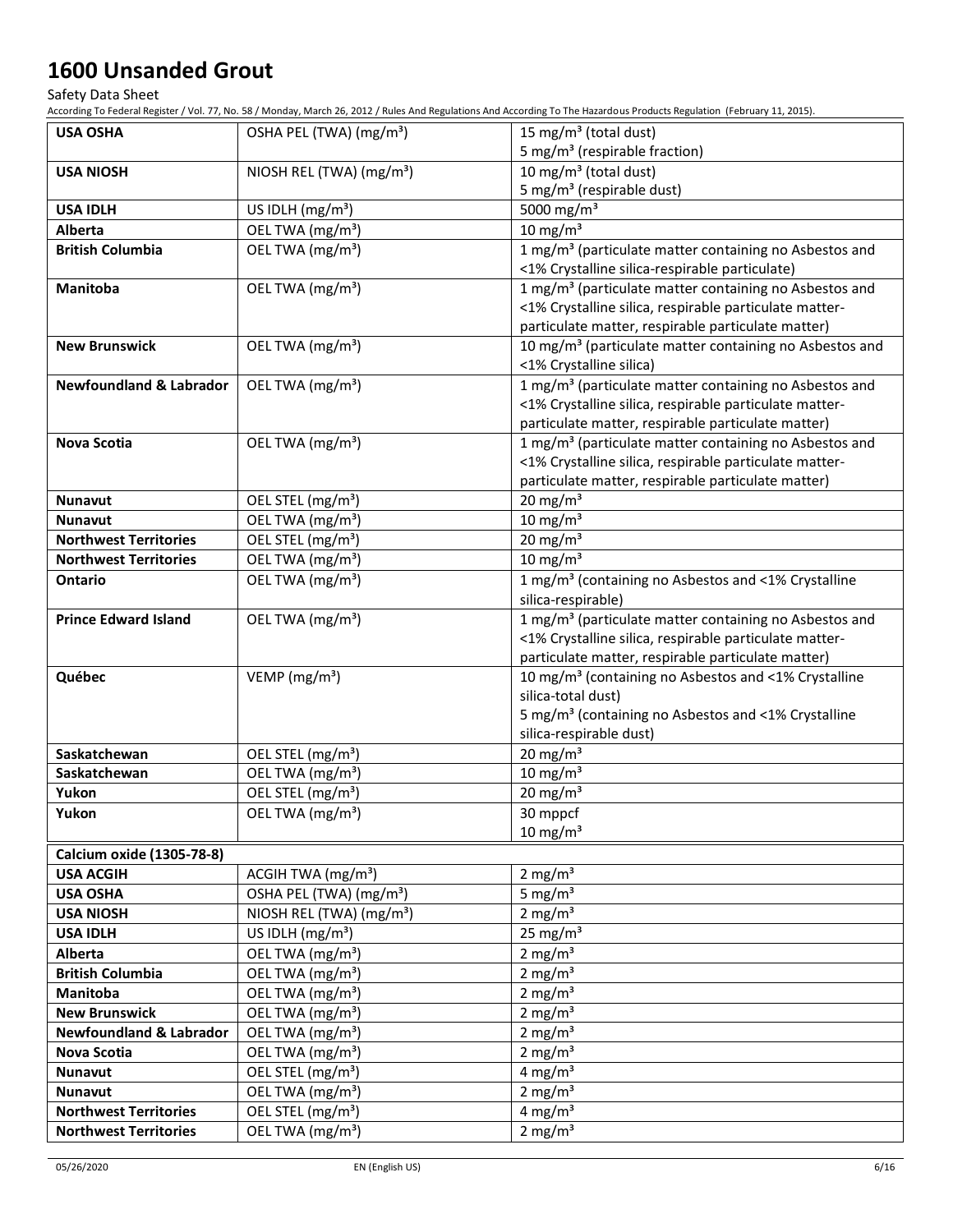Safety Data Sheet

According To Federal Register / Vol. 77, No. 58 / Monday, March 26, 2012 / Rules And Regulations And According To The Hazardous Products Regulation (February 11, 2015).

| <b>USA OSHA</b>                    | OSHA PEL (TWA) (mg/m <sup>3</sup> )  | 15 mg/m <sup>3</sup> (total dust)                                                                            |
|------------------------------------|--------------------------------------|--------------------------------------------------------------------------------------------------------------|
|                                    |                                      | 5 mg/m <sup>3</sup> (respirable fraction)                                                                    |
| <b>USA NIOSH</b>                   | NIOSH REL (TWA) (mg/m <sup>3</sup> ) | 10 mg/m <sup>3</sup> (total dust)                                                                            |
|                                    |                                      | 5 mg/m <sup>3</sup> (respirable dust)                                                                        |
| <b>USA IDLH</b>                    | US IDLH (mg/m <sup>3</sup> )         | 5000 mg/m <sup>3</sup>                                                                                       |
| Alberta                            | OEL TWA (mg/m <sup>3</sup> )         | 10 mg/m $3$                                                                                                  |
| <b>British Columbia</b>            | OEL TWA (mg/m <sup>3</sup> )         | 1 mg/m <sup>3</sup> (particulate matter containing no Asbestos and                                           |
|                                    |                                      | <1% Crystalline silica-respirable particulate)                                                               |
| <b>Manitoba</b>                    | OEL TWA (mg/m <sup>3</sup> )         | 1 mg/m <sup>3</sup> (particulate matter containing no Asbestos and                                           |
|                                    |                                      | <1% Crystalline silica, respirable particulate matter-                                                       |
|                                    |                                      | particulate matter, respirable particulate matter)                                                           |
| <b>New Brunswick</b>               | OEL TWA (mg/m <sup>3</sup> )         | 10 mg/m <sup>3</sup> (particulate matter containing no Asbestos and                                          |
|                                    |                                      | <1% Crystalline silica)                                                                                      |
| <b>Newfoundland &amp; Labrador</b> | OEL TWA (mg/m <sup>3</sup> )         | 1 mg/m <sup>3</sup> (particulate matter containing no Asbestos and                                           |
|                                    |                                      | <1% Crystalline silica, respirable particulate matter-                                                       |
|                                    |                                      | particulate matter, respirable particulate matter)                                                           |
| <b>Nova Scotia</b>                 | OEL TWA (mg/m <sup>3</sup> )         | 1 mg/m <sup>3</sup> (particulate matter containing no Asbestos and                                           |
|                                    |                                      | <1% Crystalline silica, respirable particulate matter-                                                       |
|                                    |                                      | particulate matter, respirable particulate matter)                                                           |
| <b>Nunavut</b>                     | OEL STEL (mg/m <sup>3</sup> )        | 20 mg/m $3$                                                                                                  |
| <b>Nunavut</b>                     | OEL TWA (mg/m <sup>3</sup> )         | $10 \text{ mg/m}^3$                                                                                          |
| <b>Northwest Territories</b>       | OEL STEL (mg/m <sup>3</sup> )        | $20$ mg/m <sup>3</sup>                                                                                       |
| <b>Northwest Territories</b>       | OEL TWA (mg/m <sup>3</sup> )         | $10 \text{ mg/m}^3$                                                                                          |
| Ontario                            | OEL TWA (mg/m <sup>3</sup> )         | 1 mg/m <sup>3</sup> (containing no Asbestos and <1% Crystalline                                              |
|                                    |                                      | silica-respirable)                                                                                           |
| <b>Prince Edward Island</b>        | OEL TWA (mg/m <sup>3</sup> )         | 1 mg/m <sup>3</sup> (particulate matter containing no Asbestos and                                           |
|                                    |                                      | <1% Crystalline silica, respirable particulate matter-<br>particulate matter, respirable particulate matter) |
| Québec                             | VEMP ( $mg/m3$ )                     | 10 mg/m <sup>3</sup> (containing no Asbestos and <1% Crystalline                                             |
|                                    |                                      | silica-total dust)                                                                                           |
|                                    |                                      | 5 mg/m <sup>3</sup> (containing no Asbestos and <1% Crystalline                                              |
|                                    |                                      | silica-respirable dust)                                                                                      |
| Saskatchewan                       | OEL STEL (mg/m <sup>3</sup> )        | 20 mg/ $\overline{m^3}$                                                                                      |
| Saskatchewan                       | OEL TWA (mg/m <sup>3</sup> )         | $10 \text{ mg/m}^3$                                                                                          |
| Yukon                              | OEL STEL (mg/m <sup>3</sup> )        | $20$ mg/m <sup>3</sup>                                                                                       |
| Yukon                              | OEL TWA (mg/m <sup>3</sup> )         | 30 mppcf                                                                                                     |
|                                    |                                      | 10 mg/m $3$                                                                                                  |
| <b>Calcium oxide (1305-78-8)</b>   |                                      |                                                                                                              |
| <b>USA ACGIH</b>                   | ACGIH TWA (mg/m <sup>3</sup> )       | 2 mg/ $m3$                                                                                                   |
| <b>USA OSHA</b>                    | OSHA PEL (TWA) (mg/m <sup>3</sup> )  | 5 mg/ $m3$                                                                                                   |
| <b>USA NIOSH</b>                   | NIOSH REL (TWA) (mg/m <sup>3</sup> ) | 2 mg/m $3$                                                                                                   |
| <b>USA IDLH</b>                    | US IDLH $(mg/m3)$                    | 25 mg/m <sup>3</sup>                                                                                         |
| Alberta                            | OEL TWA (mg/m <sup>3</sup> )         | 2 mg/m $3$                                                                                                   |
| <b>British Columbia</b>            | OEL TWA (mg/m <sup>3</sup> )         | 2 mg/m $3$                                                                                                   |
| Manitoba                           | OEL TWA (mg/m <sup>3</sup> )         | 2 mg/ $m3$                                                                                                   |
| <b>New Brunswick</b>               | OEL TWA (mg/m <sup>3</sup> )         | 2 mg/m $3$                                                                                                   |
| <b>Newfoundland &amp; Labrador</b> | OEL TWA (mg/m <sup>3</sup> )         | 2 mg/m $3$                                                                                                   |
| Nova Scotia                        | OEL TWA (mg/m <sup>3</sup> )         | 2 mg/ $m3$                                                                                                   |
| <b>Nunavut</b>                     | OEL STEL (mg/m <sup>3</sup> )        | 4 mg/m <sup>3</sup>                                                                                          |
| Nunavut                            | OEL TWA (mg/m <sup>3</sup> )         | 2 mg/m $3$                                                                                                   |
| <b>Northwest Territories</b>       | OEL STEL (mg/m <sup>3</sup> )        | 4 mg/m $3$                                                                                                   |
| <b>Northwest Territories</b>       | OEL TWA (mg/m <sup>3</sup> )         | 2 mg/m $3$                                                                                                   |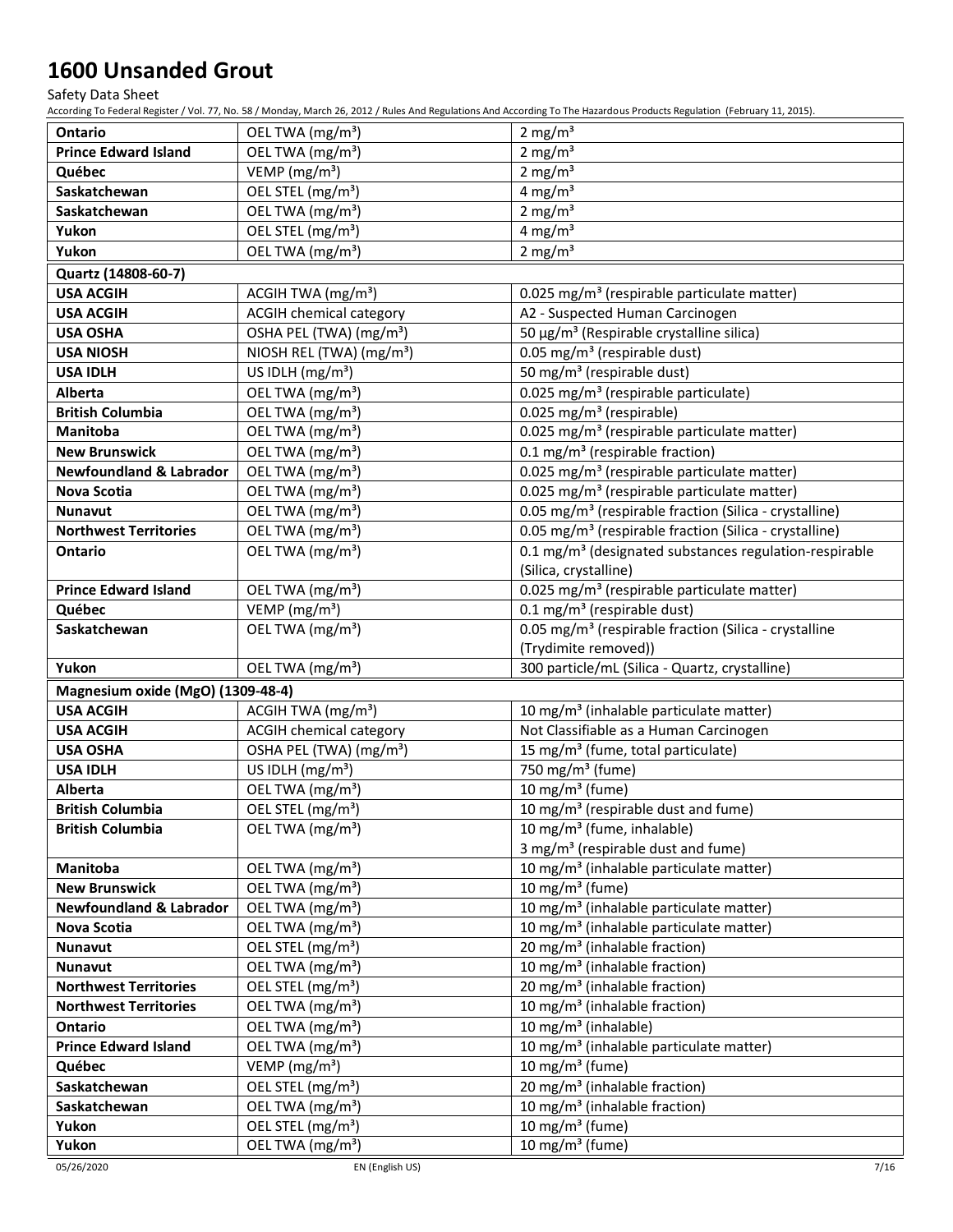Safety Data Sheet

According To Federal Register / Vol. 77, No. 58 / Monday, March 26, 2012 / Rules And Regulations And According To The Hazardous Products Regulation (February 11, 2015).

| <b>Ontario</b>                     | OEL TWA (mg/m <sup>3</sup> )                                  | 2 mg/ $m3$                                                         |
|------------------------------------|---------------------------------------------------------------|--------------------------------------------------------------------|
| <b>Prince Edward Island</b>        | OEL TWA (mg/m <sup>3</sup> )                                  | 2 mg/ $m3$                                                         |
| Québec                             | VEMP (mg/m <sup>3</sup> )                                     | 2 mg/ $m3$                                                         |
| Saskatchewan                       | OEL STEL (mg/m <sup>3</sup> )                                 | 4 mg/ $m3$                                                         |
| Saskatchewan                       | OEL TWA (mg/m <sup>3</sup> )                                  | 2 mg/m $3$                                                         |
| Yukon                              | OEL STEL (mg/m <sup>3</sup> )                                 | 4 mg/m $3$                                                         |
| Yukon                              | OEL TWA (mg/m <sup>3</sup> )                                  | 2 mg/ $m3$                                                         |
| Quartz (14808-60-7)                |                                                               |                                                                    |
| <b>USA ACGIH</b>                   | ACGIH TWA (mg/m <sup>3</sup> )                                | 0.025 mg/m <sup>3</sup> (respirable particulate matter)            |
| <b>USA ACGIH</b>                   | <b>ACGIH chemical category</b>                                | A2 - Suspected Human Carcinogen                                    |
| <b>USA OSHA</b>                    | OSHA PEL (TWA) (mg/m <sup>3</sup> )                           | 50 μg/m <sup>3</sup> (Respirable crystalline silica)               |
| <b>USA NIOSH</b>                   | NIOSH REL (TWA) (mg/m <sup>3</sup> )                          | 0.05 mg/m <sup>3</sup> (respirable dust)                           |
| <b>USA IDLH</b>                    | US IDLH $(mg/m3)$                                             | 50 mg/m <sup>3</sup> (respirable dust)                             |
| Alberta                            | OEL TWA (mg/m <sup>3</sup> )                                  | 0.025 mg/m <sup>3</sup> (respirable particulate)                   |
| <b>British Columbia</b>            | OEL TWA (mg/m <sup>3</sup> )                                  | 0.025 mg/m <sup>3</sup> (respirable)                               |
| Manitoba                           | OEL TWA (mg/m <sup>3</sup> )                                  | 0.025 mg/m <sup>3</sup> (respirable particulate matter)            |
| <b>New Brunswick</b>               | OEL TWA (mg/m <sup>3</sup> )                                  | 0.1 mg/m <sup>3</sup> (respirable fraction)                        |
| <b>Newfoundland &amp; Labrador</b> | OEL TWA (mg/m <sup>3</sup> )                                  | 0.025 mg/m <sup>3</sup> (respirable particulate matter)            |
| Nova Scotia                        | OEL TWA (mg/m <sup>3</sup> )                                  | 0.025 mg/m <sup>3</sup> (respirable particulate matter)            |
| <b>Nunavut</b>                     | OEL TWA (mg/m <sup>3</sup> )                                  | 0.05 mg/m <sup>3</sup> (respirable fraction (Silica - crystalline) |
| <b>Northwest Territories</b>       | OEL TWA (mg/m <sup>3</sup> )                                  | 0.05 mg/m <sup>3</sup> (respirable fraction (Silica - crystalline) |
| Ontario                            | OEL TWA (mg/m <sup>3</sup> )                                  | 0.1 mg/m <sup>3</sup> (designated substances regulation-respirable |
|                                    |                                                               | (Silica, crystalline)                                              |
| <b>Prince Edward Island</b>        | OEL TWA (mg/m <sup>3</sup> )                                  | 0.025 mg/m <sup>3</sup> (respirable particulate matter)            |
| Québec                             | VEMP ( $mg/m3$ )                                              | 0.1 mg/m <sup>3</sup> (respirable dust)                            |
| Saskatchewan                       | OEL TWA (mg/m <sup>3</sup> )                                  | 0.05 mg/m <sup>3</sup> (respirable fraction (Silica - crystalline  |
|                                    |                                                               | (Trydimite removed))                                               |
| Yukon                              | OEL TWA (mg/m <sup>3</sup> )                                  | 300 particle/mL (Silica - Quartz, crystalline)                     |
| Magnesium oxide (MgO) (1309-48-4)  |                                                               |                                                                    |
| <b>USA ACGIH</b>                   | ACGIH TWA $(mg/m3)$                                           | 10 mg/m <sup>3</sup> (inhalable particulate matter)                |
| <b>USA ACGIH</b>                   | <b>ACGIH chemical category</b>                                | Not Classifiable as a Human Carcinogen                             |
| <b>USA OSHA</b>                    | OSHA PEL (TWA) (mg/m <sup>3</sup> )                           | 15 mg/m <sup>3</sup> (fume, total particulate)                     |
| <b>USA IDLH</b>                    | US IDLH (mg/m <sup>3</sup> )                                  | 750 mg/m <sup>3</sup> (fume)<br>10 mg/m $3$ (fume)                 |
| Alberta<br><b>British Columbia</b> | OEL TWA (mg/m <sup>3</sup> )<br>OEL STEL (mg/m <sup>3</sup> ) | 10 mg/m <sup>3</sup> (respirable dust and fume)                    |
| <b>British Columbia</b>            | OEL TWA (mg/m <sup>3</sup> )                                  | 10 mg/m <sup>3</sup> (fume, inhalable)                             |
|                                    |                                                               | 3 mg/m <sup>3</sup> (respirable dust and fume)                     |
| Manitoba                           | OEL TWA (mg/m <sup>3</sup> )                                  | 10 mg/m <sup>3</sup> (inhalable particulate matter)                |
| <b>New Brunswick</b>               | OEL TWA (mg/m <sup>3</sup> )                                  | 10 mg/m $3$ (fume)                                                 |
| <b>Newfoundland &amp; Labrador</b> | OEL TWA (mg/m <sup>3</sup> )                                  | 10 mg/m <sup>3</sup> (inhalable particulate matter)                |
| <b>Nova Scotia</b>                 | OEL TWA (mg/m <sup>3</sup> )                                  | 10 mg/m <sup>3</sup> (inhalable particulate matter)                |
| <b>Nunavut</b>                     | OEL STEL (mg/m <sup>3</sup> )                                 | $\overline{20}$ mg/m <sup>3</sup> (inhalable fraction)             |
| <b>Nunavut</b>                     | OEL TWA (mg/m <sup>3</sup> )                                  | 10 mg/m <sup>3</sup> (inhalable fraction)                          |
| <b>Northwest Territories</b>       | OEL STEL (mg/m <sup>3</sup> )                                 | 20 mg/m <sup>3</sup> (inhalable fraction)                          |
| <b>Northwest Territories</b>       | OEL TWA (mg/m <sup>3</sup> )                                  | 10 mg/m <sup>3</sup> (inhalable fraction)                          |
| Ontario                            | OEL TWA (mg/m <sup>3</sup> )                                  | 10 mg/m <sup>3</sup> (inhalable)                                   |
| <b>Prince Edward Island</b>        | OEL TWA (mg/m <sup>3</sup> )                                  | 10 mg/m <sup>3</sup> (inhalable particulate matter)                |
| Québec                             | VEMP ( $mg/m3$ )                                              | 10 mg/m <sup>3</sup> (fume)                                        |
| Saskatchewan                       | OEL STEL (mg/m <sup>3</sup> )                                 | 20 mg/m <sup>3</sup> (inhalable fraction)                          |
| Saskatchewan                       | OEL TWA (mg/m <sup>3</sup> )                                  | 10 mg/m <sup>3</sup> (inhalable fraction)                          |
| Yukon                              |                                                               |                                                                    |
|                                    | OEL STEL (mg/m <sup>3</sup> )                                 | 10 mg/m $3$ (fume)                                                 |

05/26/2020 EN (English US) 7/16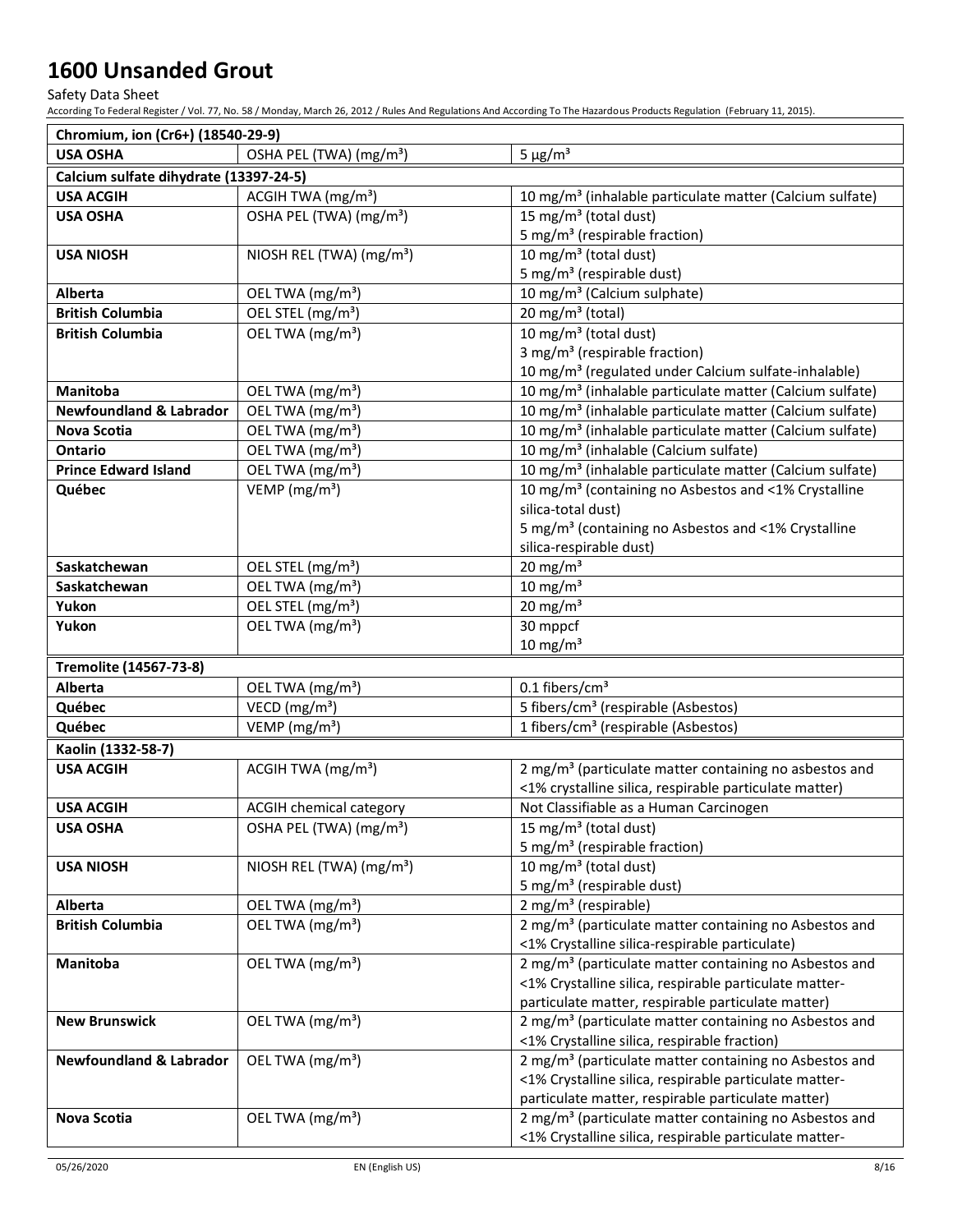Safety Data Sheet

According To Federal Register / Vol. 77, No. 58 / Monday, March 26, 2012 / Rules And Regulations And According To The Hazardous Products Regulation (February 11, 2015).

| Chromium, ion (Cr6+) (18540-29-9)      |                                      |                                                                      |
|----------------------------------------|--------------------------------------|----------------------------------------------------------------------|
| <b>USA OSHA</b>                        | OSHA PEL (TWA) (mg/m <sup>3</sup> )  | $5 \mu g/m^3$                                                        |
| Calcium sulfate dihydrate (13397-24-5) |                                      |                                                                      |
| <b>USA ACGIH</b>                       | ACGIH TWA (mg/m <sup>3</sup> )       | 10 mg/m <sup>3</sup> (inhalable particulate matter (Calcium sulfate) |
| <b>USA OSHA</b>                        | OSHA PEL (TWA) (mg/m <sup>3</sup> )  | 15 mg/m <sup>3</sup> (total dust)                                    |
|                                        |                                      | 5 mg/m <sup>3</sup> (respirable fraction)                            |
| <b>USA NIOSH</b>                       | NIOSH REL (TWA) (mg/m <sup>3</sup> ) | 10 mg/m <sup>3</sup> (total dust)                                    |
|                                        |                                      | 5 mg/m <sup>3</sup> (respirable dust)                                |
| Alberta                                | OEL TWA (mg/m <sup>3</sup> )         | 10 mg/m <sup>3</sup> (Calcium sulphate)                              |
| <b>British Columbia</b>                | OEL STEL (mg/m <sup>3</sup> )        | 20 mg/m <sup>3</sup> (total)                                         |
| <b>British Columbia</b>                | OEL TWA (mg/m <sup>3</sup> )         | 10 mg/m <sup>3</sup> (total dust)                                    |
|                                        |                                      | 3 mg/m <sup>3</sup> (respirable fraction)                            |
|                                        |                                      | 10 mg/m <sup>3</sup> (regulated under Calcium sulfate-inhalable)     |
| <b>Manitoba</b>                        | OEL TWA (mg/m <sup>3</sup> )         | 10 mg/m <sup>3</sup> (inhalable particulate matter (Calcium sulfate) |
| <b>Newfoundland &amp; Labrador</b>     | OEL TWA (mg/m <sup>3</sup> )         | 10 mg/m <sup>3</sup> (inhalable particulate matter (Calcium sulfate) |
| Nova Scotia                            | OEL TWA (mg/m <sup>3</sup> )         | 10 mg/m <sup>3</sup> (inhalable particulate matter (Calcium sulfate) |
| Ontario                                | OEL TWA (mg/m <sup>3</sup> )         | 10 mg/m <sup>3</sup> (inhalable (Calcium sulfate)                    |
| <b>Prince Edward Island</b>            | OEL TWA (mg/m <sup>3</sup> )         | 10 mg/m <sup>3</sup> (inhalable particulate matter (Calcium sulfate) |
| Québec                                 | VEMP ( $mg/m3$ )                     | 10 mg/m <sup>3</sup> (containing no Asbestos and <1% Crystalline     |
|                                        |                                      | silica-total dust)                                                   |
|                                        |                                      | 5 mg/m <sup>3</sup> (containing no Asbestos and <1% Crystalline      |
|                                        |                                      | silica-respirable dust)                                              |
| Saskatchewan                           | OEL STEL (mg/m <sup>3</sup> )        | 20 mg/m $3$                                                          |
| Saskatchewan                           | OEL TWA (mg/m <sup>3</sup> )         | $10$ mg/m <sup>3</sup>                                               |
| Yukon                                  | OEL STEL (mg/m <sup>3</sup> )        | 20 mg/m $3$                                                          |
| Yukon                                  | OEL TWA (mg/m <sup>3</sup> )         | 30 mppcf                                                             |
|                                        |                                      | $10 \text{ mg/m}^3$                                                  |
| Tremolite (14567-73-8)                 |                                      |                                                                      |
| Alberta                                | OEL TWA (mg/m <sup>3</sup> )         | $0.1$ fibers/cm <sup>3</sup>                                         |
| Québec                                 | VECD ( $mg/m3$ )                     | 5 fibers/cm <sup>3</sup> (respirable (Asbestos)                      |
| Québec                                 | VEMP ( $mg/m3$ )                     | 1 fibers/cm <sup>3</sup> (respirable (Asbestos)                      |
| Kaolin (1332-58-7)                     |                                      |                                                                      |
| <b>USA ACGIH</b>                       | ACGIH TWA $(mg/m3)$                  | 2 mg/m <sup>3</sup> (particulate matter containing no asbestos and   |
|                                        |                                      | <1% crystalline silica, respirable particulate matter)               |
| <b>USA ACGIH</b>                       | ACGIH chemical category              | Not Classifiable as a Human Carcinogen                               |
| <b>USA OSHA</b>                        | OSHA PEL (TWA) (mg/m <sup>3</sup> )  | 15 mg/m <sup>3</sup> (total dust)                                    |
|                                        |                                      | 5 mg/m <sup>3</sup> (respirable fraction)                            |
| <b>USA NIOSH</b>                       | NIOSH REL (TWA) (mg/m <sup>3</sup> ) | 10 mg/m <sup>3</sup> (total dust)                                    |
|                                        |                                      | 5 mg/m <sup>3</sup> (respirable dust)                                |
| Alberta                                | OEL TWA (mg/m <sup>3</sup> )         | 2 mg/m <sup>3</sup> (respirable)                                     |
| <b>British Columbia</b>                | OEL TWA (mg/m <sup>3</sup> )         | 2 mg/m <sup>3</sup> (particulate matter containing no Asbestos and   |
|                                        |                                      | <1% Crystalline silica-respirable particulate)                       |
| Manitoba                               | OEL TWA (mg/m <sup>3</sup> )         | 2 mg/m <sup>3</sup> (particulate matter containing no Asbestos and   |
|                                        |                                      | <1% Crystalline silica, respirable particulate matter-               |
|                                        |                                      | particulate matter, respirable particulate matter)                   |
| <b>New Brunswick</b>                   | OEL TWA (mg/m <sup>3</sup> )         | 2 mg/m <sup>3</sup> (particulate matter containing no Asbestos and   |
|                                        |                                      | <1% Crystalline silica, respirable fraction)                         |
| <b>Newfoundland &amp; Labrador</b>     | OEL TWA (mg/m <sup>3</sup> )         | 2 mg/m <sup>3</sup> (particulate matter containing no Asbestos and   |
|                                        |                                      | <1% Crystalline silica, respirable particulate matter-               |
|                                        |                                      | particulate matter, respirable particulate matter)                   |
| Nova Scotia                            | OEL TWA (mg/m <sup>3</sup> )         | 2 mg/m <sup>3</sup> (particulate matter containing no Asbestos and   |
|                                        |                                      | <1% Crystalline silica, respirable particulate matter-               |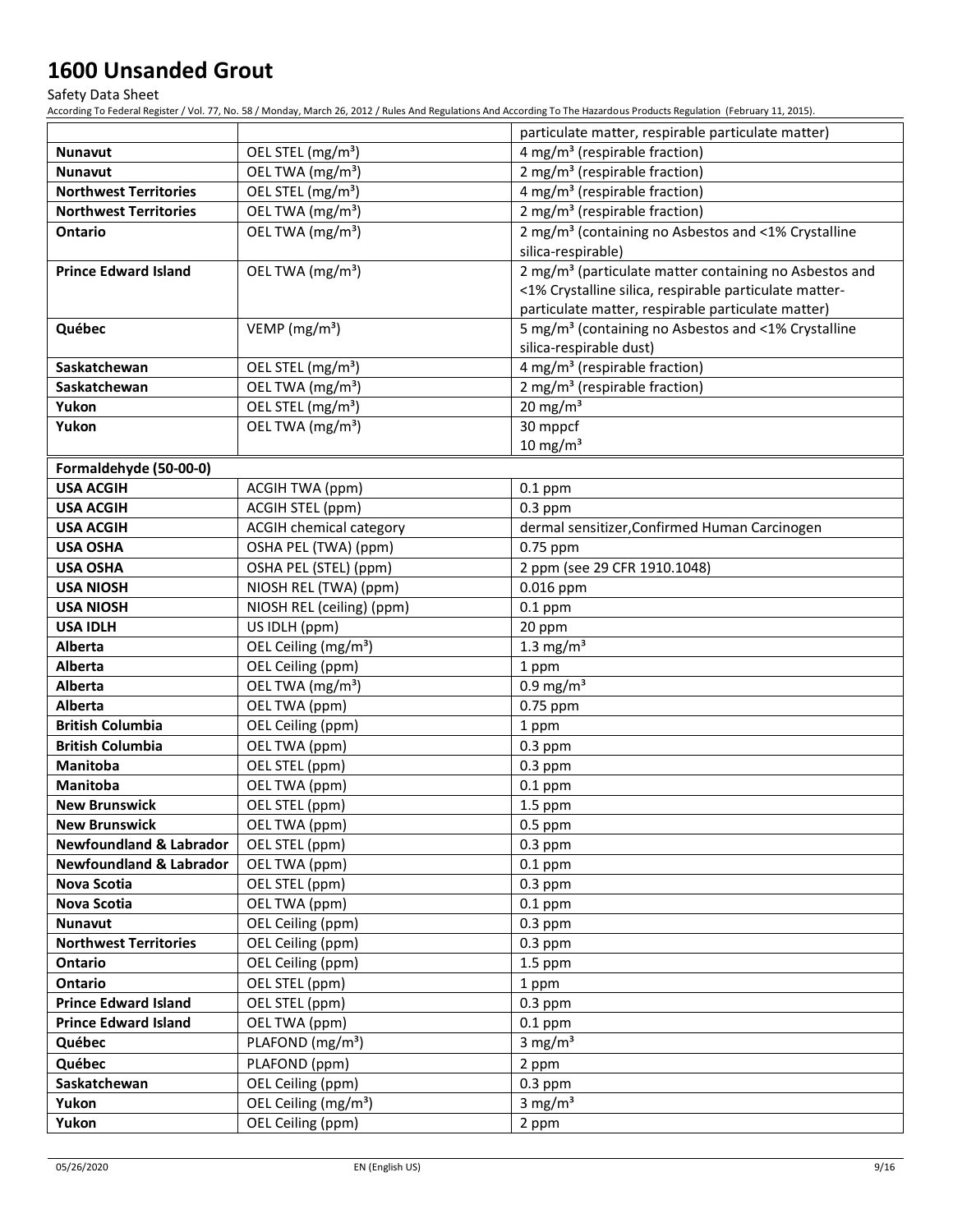Safety Data Sheet

According To Federal Register / Vol. 77, No. 58 / Monday, March 26, 2012 / Rules And Regulations And According To The Hazardous Products Regulation (February 11, 2015).

|                                    |                                  | particulate matter, respirable particulate matter)                 |
|------------------------------------|----------------------------------|--------------------------------------------------------------------|
| <b>Nunavut</b>                     | OEL STEL (mg/m <sup>3</sup> )    | 4 mg/m <sup>3</sup> (respirable fraction)                          |
| <b>Nunavut</b>                     | OEL TWA (mg/m <sup>3</sup> )     | 2 mg/m <sup>3</sup> (respirable fraction)                          |
| <b>Northwest Territories</b>       | OEL STEL (mg/m <sup>3</sup> )    | 4 mg/m <sup>3</sup> (respirable fraction)                          |
| <b>Northwest Territories</b>       | OEL TWA (mg/m <sup>3</sup> )     | 2 mg/m <sup>3</sup> (respirable fraction)                          |
| Ontario                            | OEL TWA (mg/m <sup>3</sup> )     | 2 mg/m <sup>3</sup> (containing no Asbestos and <1% Crystalline    |
|                                    |                                  | silica-respirable)                                                 |
| <b>Prince Edward Island</b>        | OEL TWA (mg/m <sup>3</sup> )     | 2 mg/m <sup>3</sup> (particulate matter containing no Asbestos and |
|                                    |                                  | <1% Crystalline silica, respirable particulate matter-             |
|                                    |                                  | particulate matter, respirable particulate matter)                 |
| Québec                             | VEMP ( $mg/m3$ )                 | 5 mg/m <sup>3</sup> (containing no Asbestos and <1% Crystalline    |
|                                    |                                  | silica-respirable dust)                                            |
| Saskatchewan                       | OEL STEL (mg/m <sup>3</sup> )    | 4 mg/m <sup>3</sup> (respirable fraction)                          |
| Saskatchewan                       | OEL TWA (mg/m <sup>3</sup> )     | 2 mg/m <sup>3</sup> (respirable fraction)                          |
| Yukon                              | OEL STEL (mg/m <sup>3</sup> )    | 20 mg/m $3$                                                        |
| Yukon                              | OEL TWA (mg/m <sup>3</sup> )     | 30 mppcf                                                           |
|                                    |                                  | $10 \text{ mg/m}^3$                                                |
| Formaldehyde (50-00-0)             |                                  |                                                                    |
| <b>USA ACGIH</b>                   | ACGIH TWA (ppm)                  | $0.1$ ppm                                                          |
| <b>USA ACGIH</b>                   | ACGIH STEL (ppm)                 | $0.3$ ppm                                                          |
| <b>USA ACGIH</b>                   | <b>ACGIH chemical category</b>   | dermal sensitizer, Confirmed Human Carcinogen                      |
| <b>USA OSHA</b>                    | OSHA PEL (TWA) (ppm)             | 0.75 ppm                                                           |
| <b>USA OSHA</b>                    | OSHA PEL (STEL) (ppm)            | 2 ppm (see 29 CFR 1910.1048)                                       |
| <b>USA NIOSH</b>                   | NIOSH REL (TWA) (ppm)            | 0.016 ppm                                                          |
| <b>USA NIOSH</b>                   | NIOSH REL (ceiling) (ppm)        | $0.1$ ppm                                                          |
| <b>USA IDLH</b>                    | US IDLH (ppm)                    | 20 ppm                                                             |
| Alberta                            | OEL Ceiling (mg/m <sup>3</sup> ) | 1.3 mg/ $m3$                                                       |
| Alberta                            | OEL Ceiling (ppm)                | 1 ppm                                                              |
| Alberta                            | OEL TWA (mg/m <sup>3</sup> )     | $0.9$ mg/m <sup>3</sup>                                            |
| Alberta                            | OEL TWA (ppm)                    | 0.75 ppm                                                           |
| <b>British Columbia</b>            | OEL Ceiling (ppm)                | 1 ppm                                                              |
| <b>British Columbia</b>            | OEL TWA (ppm)                    | $0.3$ ppm                                                          |
| Manitoba                           | OEL STEL (ppm)                   | $0.3$ ppm                                                          |
| <b>Manitoba</b>                    | OEL TWA (ppm)                    | $0.1$ ppm                                                          |
| <b>New Brunswick</b>               | OEL STEL (ppm)                   | $1.5$ ppm                                                          |
| <b>New Brunswick</b>               | OEL TWA (ppm)                    | $0.5$ ppm                                                          |
| <b>Newfoundland &amp; Labrador</b> | OEL STEL (ppm)                   | $0.3$ ppm                                                          |
| <b>Newfoundland &amp; Labrador</b> | OEL TWA (ppm)                    | $0.1$ ppm                                                          |
| Nova Scotia                        | OEL STEL (ppm)                   | $0.3$ ppm                                                          |
| Nova Scotia                        | OEL TWA (ppm)                    | $0.1$ ppm                                                          |
| <b>Nunavut</b>                     | OEL Ceiling (ppm)                | $0.3$ ppm                                                          |
| <b>Northwest Territories</b>       | OEL Ceiling (ppm)                | $0.3$ ppm                                                          |
| Ontario                            | OEL Ceiling (ppm)                | $1.5$ ppm                                                          |
| Ontario                            | OEL STEL (ppm)                   | 1 ppm                                                              |
| <b>Prince Edward Island</b>        | OEL STEL (ppm)                   | $0.3$ ppm                                                          |
| <b>Prince Edward Island</b>        | OEL TWA (ppm)                    | $0.1$ ppm                                                          |
| Québec                             | PLAFOND (mg/m <sup>3</sup> )     | 3 mg/ $m3$                                                         |
| Québec                             | PLAFOND (ppm)                    | 2 ppm                                                              |
| Saskatchewan                       | OEL Ceiling (ppm)                | $0.3$ ppm                                                          |
| Yukon                              | OEL Ceiling (mg/m <sup>3</sup> ) | 3 mg/ $m3$                                                         |
| Yukon                              | OEL Ceiling (ppm)                | 2 ppm                                                              |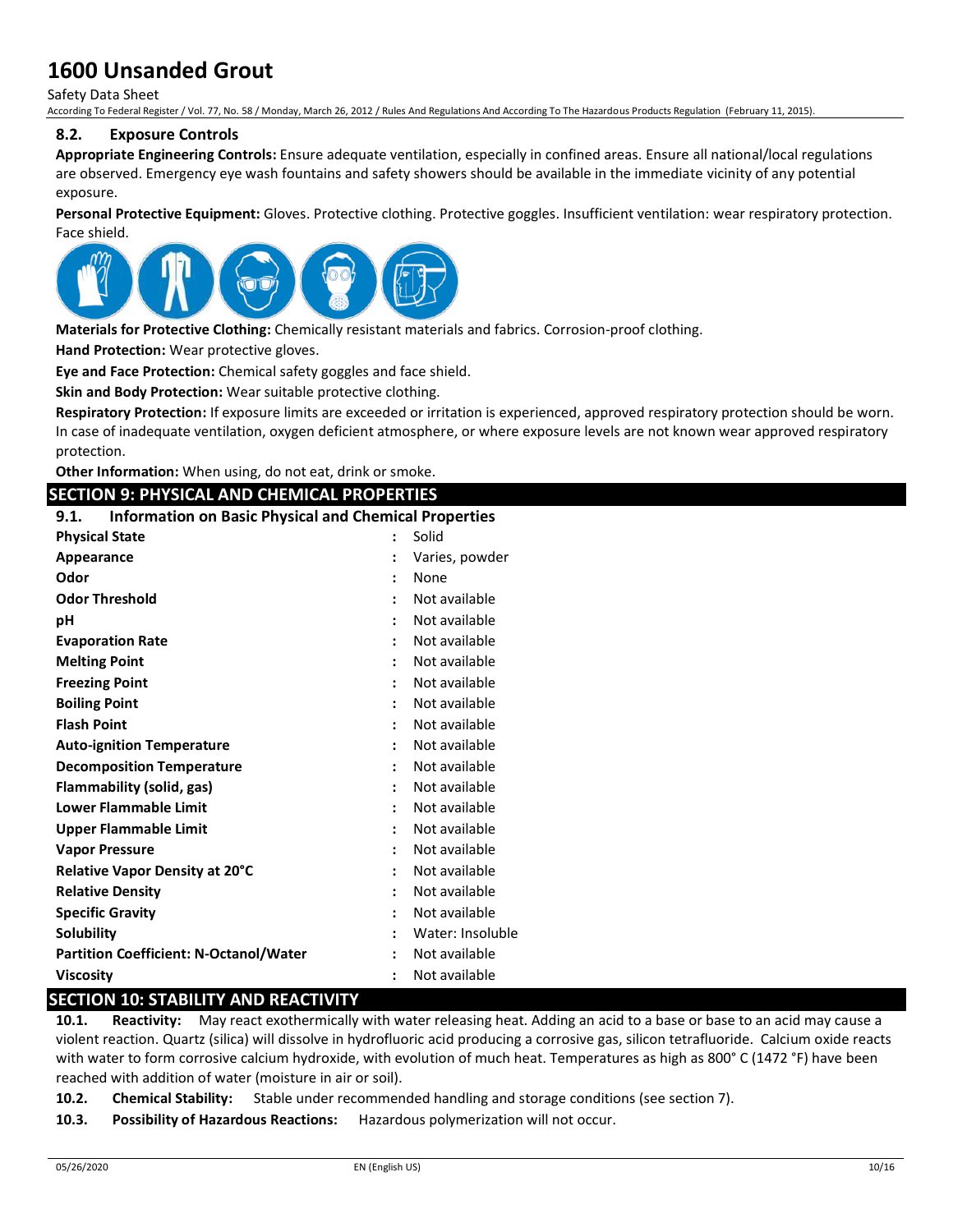Safety Data Sheet

According To Federal Register / Vol. 77, No. 58 / Monday, March 26, 2012 / Rules And Regulations And According To The Hazardous Products Regulation (February 11, 2015).

### **8.2. Exposure Controls**

**Appropriate Engineering Controls:** Ensure adequate ventilation, especially in confined areas. Ensure all national/local regulations are observed. Emergency eye wash fountains and safety showers should be available in the immediate vicinity of any potential exposure

**Personal Protective Equipment:** Gloves. Protective clothing. Protective goggles. Insufficient ventilation: wear respiratory protection. Face shield.



**Materials for Protective Clothing:** Chemically resistant materials and fabrics. Corrosion-proof clothing.

**Hand Protection:** Wear protective gloves.

**Eye and Face Protection:** Chemical safety goggles and face shield.

**Skin and Body Protection:** Wear suitable protective clothing.

**Respiratory Protection:** If exposure limits are exceeded or irritation is experienced, approved respiratory protection should be worn. In case of inadequate ventilation, oxygen deficient atmosphere, or where exposure levels are not known wear approved respiratory protection.

**Other Information:** When using, do not eat, drink or smoke.

### **SECTION 9: PHYSICAL AND CHEMICAL PROPERTIES**

### **9.1. Information on Basic Physical and Chemical Properties**

| <b>Physical State</b>                         |                      | Solid            |
|-----------------------------------------------|----------------------|------------------|
| Appearance                                    | $\ddot{\phantom{a}}$ | Varies, powder   |
| Odor                                          | $\ddot{\phantom{a}}$ | None             |
| <b>Odor Threshold</b>                         |                      | Not available    |
| рH                                            | ÷                    | Not available    |
| <b>Evaporation Rate</b>                       |                      | Not available    |
| <b>Melting Point</b>                          |                      | Not available    |
| <b>Freezing Point</b>                         | ÷                    | Not available    |
| <b>Boiling Point</b>                          | ÷                    | Not available    |
| <b>Flash Point</b>                            |                      | Not available    |
| <b>Auto-ignition Temperature</b>              | $\ddot{\phantom{a}}$ | Not available    |
| <b>Decomposition Temperature</b>              | ÷                    | Not available    |
| Flammability (solid, gas)                     |                      | Not available    |
| <b>Lower Flammable Limit</b>                  | ÷                    | Not available    |
| <b>Upper Flammable Limit</b>                  |                      | Not available    |
| <b>Vapor Pressure</b>                         |                      | Not available    |
| Relative Vapor Density at 20°C                | ÷                    | Not available    |
| <b>Relative Density</b>                       | ÷                    | Not available    |
| <b>Specific Gravity</b>                       |                      | Not available    |
| <b>Solubility</b>                             | ÷                    | Water: Insoluble |
| <b>Partition Coefficient: N-Octanol/Water</b> |                      | Not available    |
| <b>Viscosity</b>                              |                      | Not available    |

### **SECTION 10: STABILITY AND REACTIVITY**

**10.1. Reactivity:** May react exothermically with water releasing heat. Adding an acid to a base or base to an acid may cause a violent reaction. Quartz (silica) will dissolve in hydrofluoric acid producing a corrosive gas, silicon tetrafluoride. Calcium oxide reacts with water to form corrosive calcium hydroxide, with evolution of much heat. Temperatures as high as 800° C (1472 °F) have been reached with addition of water (moisture in air or soil).

- **10.2. Chemical Stability:** Stable under recommended handling and storage conditions (see section 7).
- **10.3. Possibility of Hazardous Reactions:** Hazardous polymerization will not occur.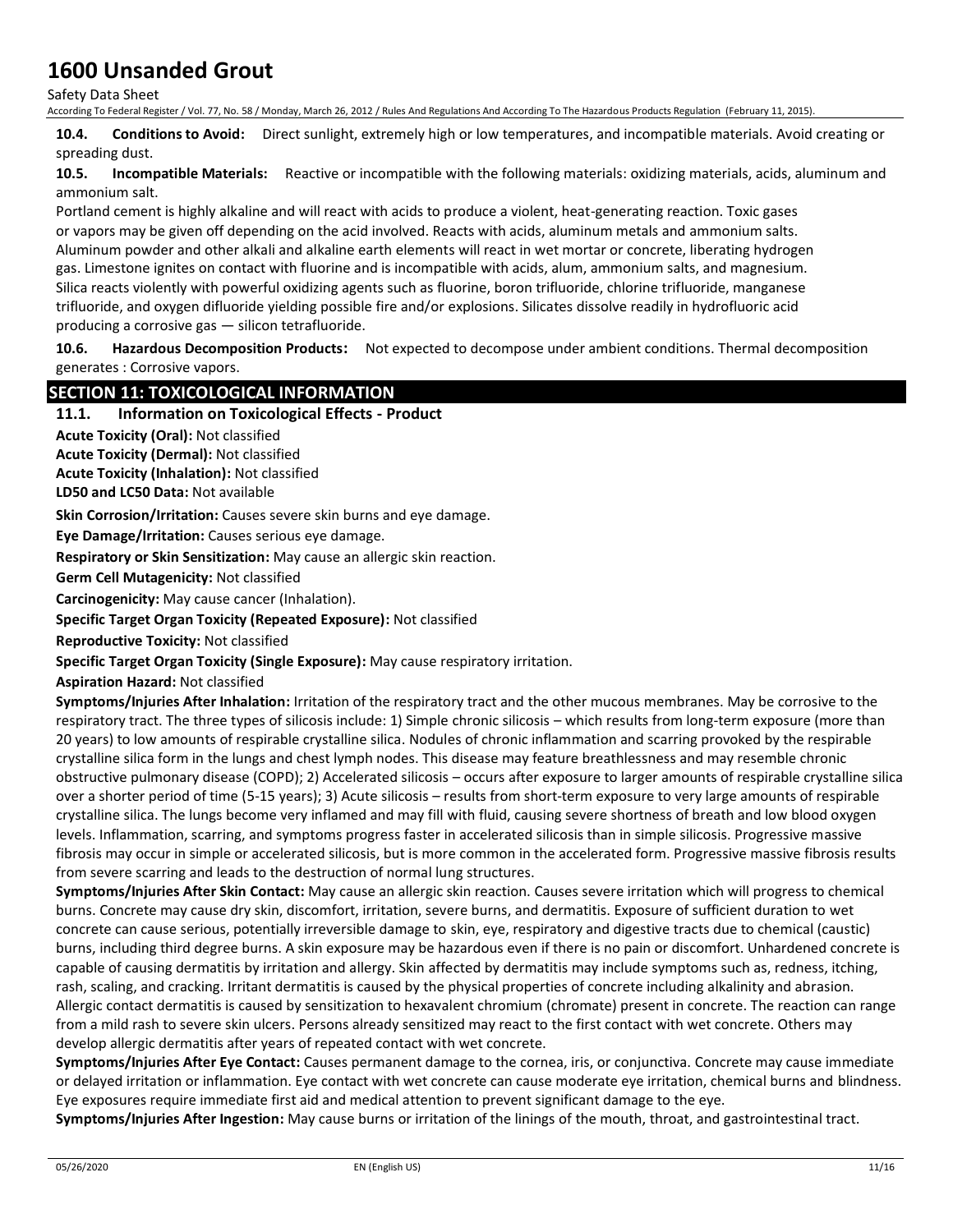Safety Data Sheet

According To Federal Register / Vol. 77, No. 58 / Monday, March 26, 2012 / Rules And Regulations And According To The Hazardous Products Regulation (February 11, 2015).

**10.4. Conditions to Avoid:** Direct sunlight, extremely high or low temperatures, and incompatible materials. Avoid creating or spreading dust.

**10.5. Incompatible Materials:** Reactive or incompatible with the following materials: oxidizing materials, acids, aluminum and ammonium salt.

Portland cement is highly alkaline and will react with acids to produce a violent, heat-generating reaction. Toxic gases or vapors may be given off depending on the acid involved. Reacts with acids, aluminum metals and ammonium salts. Aluminum powder and other alkali and alkaline earth elements will react in wet mortar or concrete, liberating hydrogen gas. Limestone ignites on contact with fluorine and is incompatible with acids, alum, ammonium salts, and magnesium. Silica reacts violently with powerful oxidizing agents such as fluorine, boron trifluoride, chlorine trifluoride, manganese trifluoride, and oxygen difluoride yielding possible fire and/or explosions. Silicates dissolve readily in hydrofluoric acid producing a corrosive gas — silicon tetrafluoride.

**10.6. Hazardous Decomposition Products:** Not expected to decompose under ambient conditions. Thermal decomposition generates : Corrosive vapors.

### **SECTION 11: TOXICOLOGICAL INFORMATION**

## **11.1. Information on Toxicological Effects - Product**

**Acute Toxicity (Oral):** Not classified

**Acute Toxicity (Dermal):** Not classified

**Acute Toxicity (Inhalation):** Not classified

**LD50 and LC50 Data:** Not available

**Skin Corrosion/Irritation:** Causes severe skin burns and eye damage.

**Eye Damage/Irritation:** Causes serious eye damage.

**Respiratory or Skin Sensitization:** May cause an allergic skin reaction.

**Germ Cell Mutagenicity:** Not classified

**Carcinogenicity:** May cause cancer (Inhalation).

**Specific Target Organ Toxicity (Repeated Exposure):** Not classified

**Reproductive Toxicity:** Not classified

**Specific Target Organ Toxicity (Single Exposure):** May cause respiratory irritation.

**Aspiration Hazard:** Not classified

**Symptoms/Injuries After Inhalation:** Irritation of the respiratory tract and the other mucous membranes. May be corrosive to the respiratory tract. The three types of silicosis include: 1) Simple chronic silicosis – which results from long-term exposure (more than 20 years) to low amounts of respirable crystalline silica. Nodules of chronic inflammation and scarring provoked by the respirable crystalline silica form in the lungs and chest lymph nodes. This disease may feature breathlessness and may resemble chronic obstructive pulmonary disease (COPD); 2) Accelerated silicosis – occurs after exposure to larger amounts of respirable crystalline silica over a shorter period of time (5-15 years); 3) Acute silicosis – results from short-term exposure to very large amounts of respirable crystalline silica. The lungs become very inflamed and may fill with fluid, causing severe shortness of breath and low blood oxygen levels. Inflammation, scarring, and symptoms progress faster in accelerated silicosis than in simple silicosis. Progressive massive fibrosis may occur in simple or accelerated silicosis, but is more common in the accelerated form. Progressive massive fibrosis results from severe scarring and leads to the destruction of normal lung structures.

**Symptoms/Injuries After Skin Contact:** May cause an allergic skin reaction. Causes severe irritation which will progress to chemical burns. Concrete may cause dry skin, discomfort, irritation, severe burns, and dermatitis. Exposure of sufficient duration to wet concrete can cause serious, potentially irreversible damage to skin, eye, respiratory and digestive tracts due to chemical (caustic) burns, including third degree burns. A skin exposure may be hazardous even if there is no pain or discomfort. Unhardened concrete is capable of causing dermatitis by irritation and allergy. Skin affected by dermatitis may include symptoms such as, redness, itching, rash, scaling, and cracking. Irritant dermatitis is caused by the physical properties of concrete including alkalinity and abrasion. Allergic contact dermatitis is caused by sensitization to hexavalent chromium (chromate) present in concrete. The reaction can range from a mild rash to severe skin ulcers. Persons already sensitized may react to the first contact with wet concrete. Others may develop allergic dermatitis after years of repeated contact with wet concrete.

**Symptoms/Injuries After Eye Contact:** Causes permanent damage to the cornea, iris, or conjunctiva. Concrete may cause immediate or delayed irritation or inflammation. Eye contact with wet concrete can cause moderate eye irritation, chemical burns and blindness. Eye exposures require immediate first aid and medical attention to prevent significant damage to the eye.

**Symptoms/Injuries After Ingestion:** May cause burns or irritation of the linings of the mouth, throat, and gastrointestinal tract.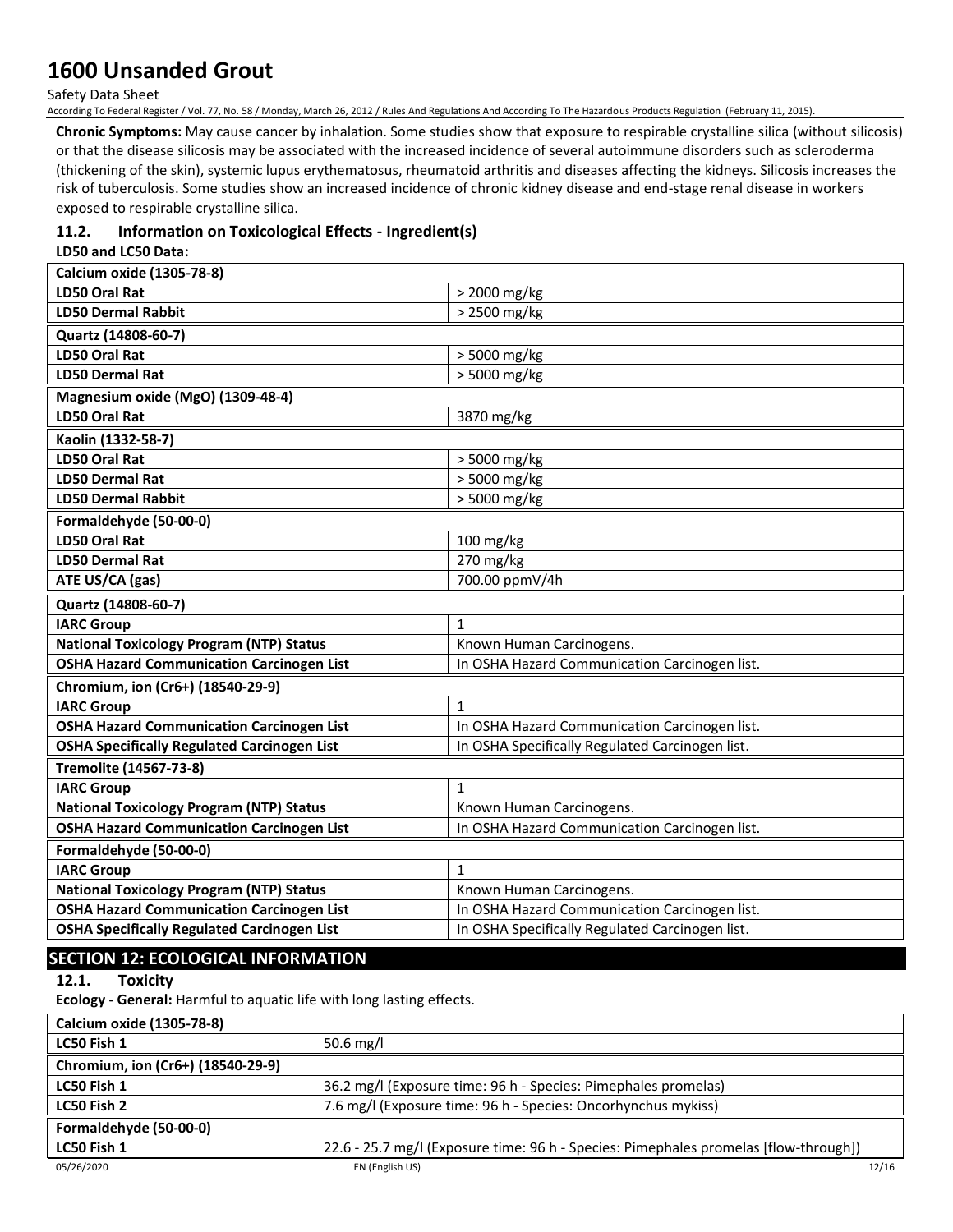Safety Data Sheet

According To Federal Register / Vol. 77, No. 58 / Monday, March 26, 2012 / Rules And Regulations And According To The Hazardous Products Regulation (February 11, 2015).

**Chronic Symptoms:** May cause cancer by inhalation. Some studies show that exposure to respirable crystalline silica (without silicosis) or that the disease silicosis may be associated with the increased incidence of several autoimmune disorders such as scleroderma (thickening of the skin), systemic lupus erythematosus, rheumatoid arthritis and diseases affecting the kidneys. Silicosis increases the risk of tuberculosis. Some studies show an increased incidence of chronic kidney disease and end-stage renal disease in workers exposed to respirable crystalline silica.

### **11.2. Information on Toxicological Effects - Ingredient(s)**

**LD50 and LC50 Data:**

| Calcium oxide (1305-78-8)                          |                                                 |
|----------------------------------------------------|-------------------------------------------------|
| <b>LD50 Oral Rat</b>                               | > 2000 mg/kg                                    |
| <b>LD50 Dermal Rabbit</b>                          | > 2500 mg/kg                                    |
| Quartz (14808-60-7)                                |                                                 |
| <b>LD50 Oral Rat</b>                               | > 5000 mg/kg                                    |
| <b>LD50 Dermal Rat</b>                             | > 5000 mg/kg                                    |
| Magnesium oxide (MgO) (1309-48-4)                  |                                                 |
| LD50 Oral Rat                                      | 3870 mg/kg                                      |
| Kaolin (1332-58-7)                                 |                                                 |
| <b>LD50 Oral Rat</b>                               | > 5000 mg/kg                                    |
| <b>LD50 Dermal Rat</b>                             | > 5000 mg/kg                                    |
| <b>LD50 Dermal Rabbit</b>                          | > 5000 mg/kg                                    |
| Formaldehyde (50-00-0)                             |                                                 |
| <b>LD50 Oral Rat</b>                               | 100 mg/kg                                       |
| <b>LD50 Dermal Rat</b>                             | 270 mg/kg                                       |
| ATE US/CA (gas)                                    | 700.00 ppmV/4h                                  |
| Quartz (14808-60-7)                                |                                                 |
| <b>IARC Group</b>                                  | $\mathbf{1}$                                    |
| <b>National Toxicology Program (NTP) Status</b>    | Known Human Carcinogens.                        |
| <b>OSHA Hazard Communication Carcinogen List</b>   | In OSHA Hazard Communication Carcinogen list.   |
| Chromium, ion (Cr6+) (18540-29-9)                  |                                                 |
| <b>IARC Group</b>                                  | $\mathbf{1}$                                    |
| <b>OSHA Hazard Communication Carcinogen List</b>   | In OSHA Hazard Communication Carcinogen list.   |
| <b>OSHA Specifically Regulated Carcinogen List</b> | In OSHA Specifically Regulated Carcinogen list. |
| Tremolite (14567-73-8)                             |                                                 |
| <b>IARC Group</b>                                  | $\mathbf{1}$                                    |
| <b>National Toxicology Program (NTP) Status</b>    | Known Human Carcinogens.                        |
| <b>OSHA Hazard Communication Carcinogen List</b>   | In OSHA Hazard Communication Carcinogen list.   |
| Formaldehyde (50-00-0)                             |                                                 |
| <b>IARC Group</b>                                  | $\mathbf{1}$                                    |
| <b>National Toxicology Program (NTP) Status</b>    | Known Human Carcinogens.                        |
| <b>OSHA Hazard Communication Carcinogen List</b>   | In OSHA Hazard Communication Carcinogen list.   |
| <b>OSHA Specifically Regulated Carcinogen List</b> | In OSHA Specifically Regulated Carcinogen list. |

## **SECTION 12: ECOLOGICAL INFORMATION**

**12.1. Toxicity**

**Ecology - General:** Harmful to aquatic life with long lasting effects.

| Calcium oxide (1305-78-8)         |                                                                                      |       |
|-----------------------------------|--------------------------------------------------------------------------------------|-------|
| LC50 Fish 1                       | 50.6 mg/l                                                                            |       |
| Chromium, ion (Cr6+) (18540-29-9) |                                                                                      |       |
| LC50 Fish 1                       | 36.2 mg/l (Exposure time: 96 h - Species: Pimephales promelas)                       |       |
| LC50 Fish 2                       | 7.6 mg/l (Exposure time: 96 h - Species: Oncorhynchus mykiss)                        |       |
| Formaldehyde (50-00-0)            |                                                                                      |       |
| LC50 Fish 1                       | 22.6 - 25.7 mg/l (Exposure time: 96 h - Species: Pimephales promelas [flow-through]) |       |
| 05/26/2020                        | EN (English US)                                                                      | 12/16 |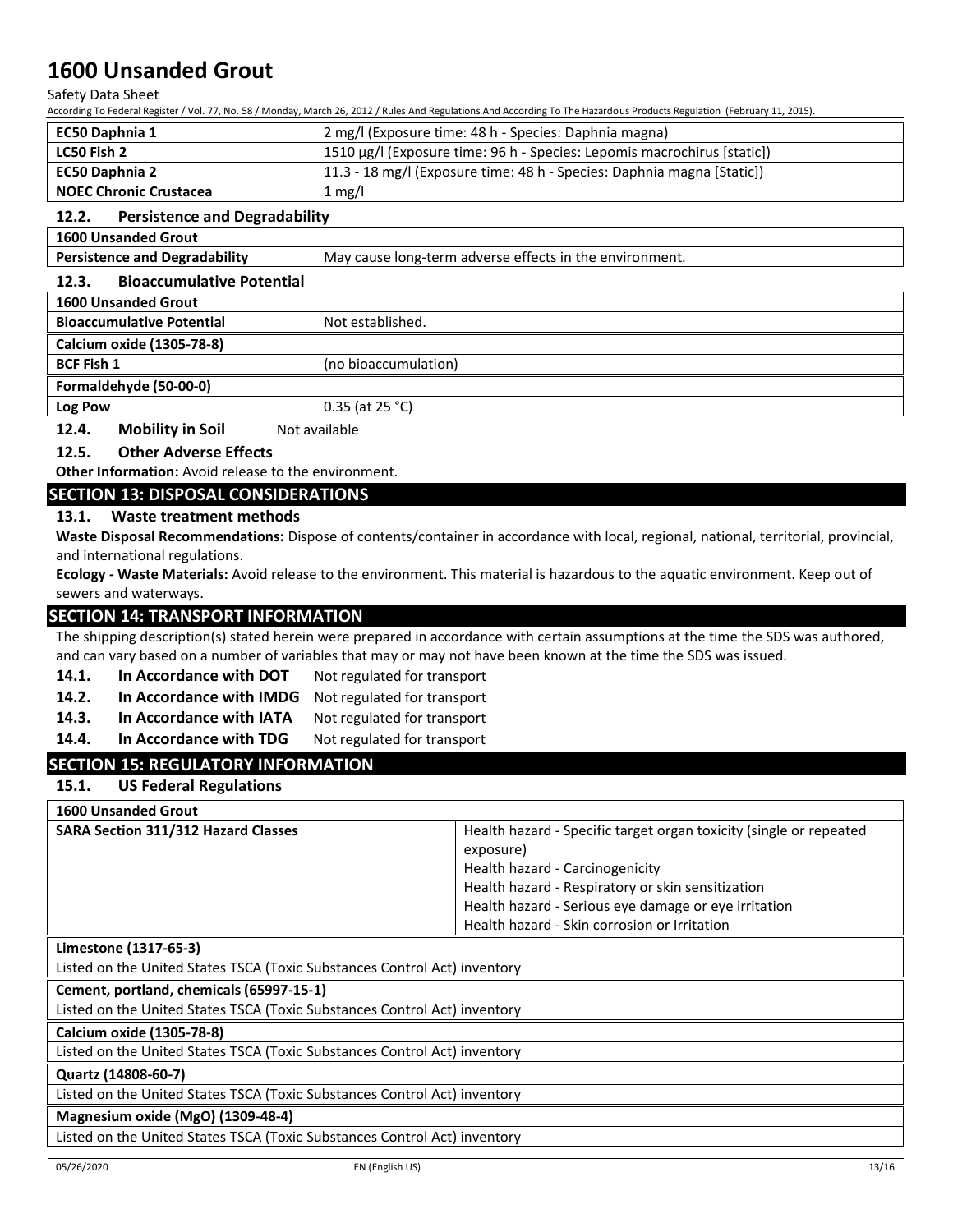Safety Data Sheet

According To Federal Register / Vol. 77, No. 58 / Monday, March 26, 2012 / Rules And Regulations And According To The Hazardous Products Regulation (February 11, 2015).

| EC50 Daphnia 1                | 2 mg/l (Exposure time: 48 h - Species: Daphnia magna)                   |
|-------------------------------|-------------------------------------------------------------------------|
| LC50 Fish 2                   | 1510 μg/l (Exposure time: 96 h - Species: Lepomis macrochirus [static]) |
| <b>EC50 Daphnia 2</b>         | 11.3 - 18 mg/l (Exposure time: 48 h - Species: Daphnia magna [Static])  |
| <b>NOEC Chronic Crustacea</b> | $1 \text{ mg/l}$                                                        |

### **12.2. Persistence and Degradability**

| <b>1600 Unsanded Grout</b> |  |
|----------------------------|--|
|----------------------------|--|

**Persistence and Degradability** May cause long-term adverse effects in the environment.

### **12.3. Bioaccumulative Potential**

| <b>1600 Unsanded Grout</b>       |                      |
|----------------------------------|----------------------|
| <b>Bioaccumulative Potential</b> | Not established.     |
| Calcium oxide (1305-78-8)        |                      |
| <b>BCF Fish 1</b>                | (no bioaccumulation) |
| Formaldehyde (50-00-0)           |                      |
| Log Pow                          | $0.35$ (at 25 °C)    |
| 12.4.<br><b>Mobility in Soil</b> | Not available        |

## **12.5. Other Adverse Effects**

**Other Information:** Avoid release to the environment.

### **SECTION 13: DISPOSAL CONSIDERATIONS**

### **13.1. Waste treatment methods**

**Waste Disposal Recommendations:** Dispose of contents/container in accordance with local, regional, national, territorial, provincial, and international regulations.

**Ecology - Waste Materials:** Avoid release to the environment. This material is hazardous to the aquatic environment. Keep out of sewers and waterways.

### **SECTION 14: TRANSPORT INFORMATION**

The shipping description(s) stated herein were prepared in accordance with certain assumptions at the time the SDS was authored, and can vary based on a number of variables that may or may not have been known at the time the SDS was issued.

- **14.1. In Accordance with DOT** Not regulated for transport
- **14.2. In Accordance with IMDG** Not regulated for transport
- 14.3. In Accordance with IATA Not regulated for transport
- 14.4. In Accordance with TDG Not regulated for transport

## **SECTION 15: REGULATORY INFORMATION**

**15.1. US Federal Regulations**

### **1600 Unsanded Grout**

| <b>SARA Section 311/312 Hazard Classes</b><br>exposure) | Health hazard - Specific target organ toxicity (single or repeated<br>Health hazard - Carcinogenicity<br>Health hazard - Respiratory or skin sensitization<br>Health hazard - Serious eye damage or eye irritation<br>Health hazard - Skin corrosion or Irritation |
|---------------------------------------------------------|--------------------------------------------------------------------------------------------------------------------------------------------------------------------------------------------------------------------------------------------------------------------|
|---------------------------------------------------------|--------------------------------------------------------------------------------------------------------------------------------------------------------------------------------------------------------------------------------------------------------------------|

### **Limestone (1317-65-3)**

Listed on the United States TSCA (Toxic Substances Control Act) inventory

**Cement, portland, chemicals (65997-15-1)**

Listed on the United States TSCA (Toxic Substances Control Act) inventory

### **Calcium oxide (1305-78-8)**

Listed on the United States TSCA (Toxic Substances Control Act) inventory

### **Quartz (14808-60-7)**

Listed on the United States TSCA (Toxic Substances Control Act) inventory

## **Magnesium oxide (MgO) (1309-48-4)**

Listed on the United States TSCA (Toxic Substances Control Act) inventory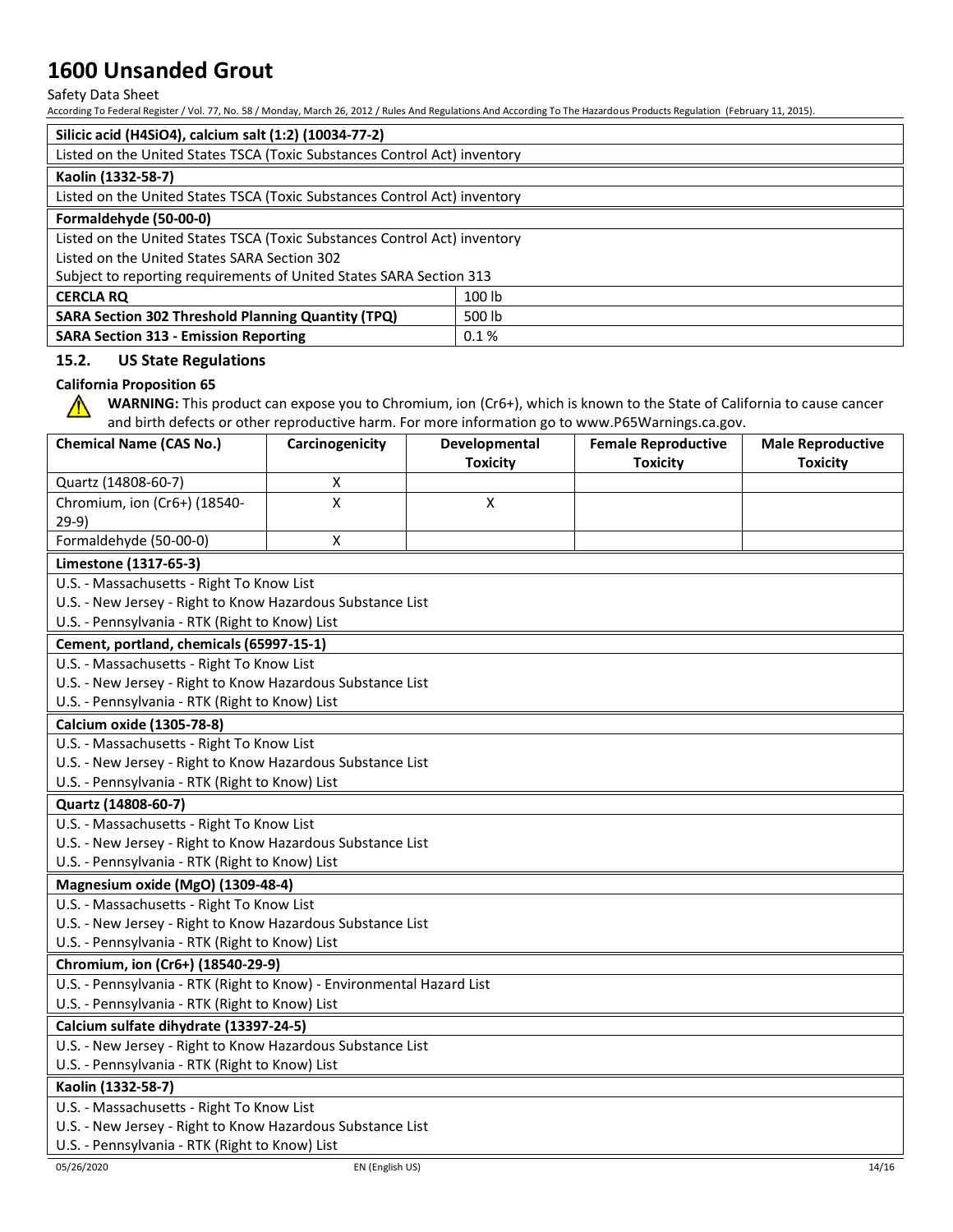## Safety Data Sheet

According To Federal Register / Vol. 77, No. 58 / Monday, March 26, 2012 / Rules And Regulations And According To The Hazardous Products Regulation (February 11, 2015).

| Silicic acid (H4SiO4), calcium salt (1:2) (10034-77-2)                    |        |  |
|---------------------------------------------------------------------------|--------|--|
| Listed on the United States TSCA (Toxic Substances Control Act) inventory |        |  |
| Kaolin (1332-58-7)                                                        |        |  |
| Listed on the United States TSCA (Toxic Substances Control Act) inventory |        |  |
| Formaldehyde (50-00-0)                                                    |        |  |
| Listed on the United States TSCA (Toxic Substances Control Act) inventory |        |  |
| Listed on the United States SARA Section 302                              |        |  |
| Subject to reporting requirements of United States SARA Section 313       |        |  |
| <b>CERCLA RQ</b>                                                          | 100 lb |  |
| <b>SARA Section 302 Threshold Planning Quantity (TPQ)</b>                 | 500 lb |  |
| <b>SARA Section 313 - Emission Reporting</b>                              | 0.1%   |  |

### **15.2. US State Regulations**

### **California Proposition 65**

**WARNING:** This product can expose you to Chromium, ion (Cr6+), which is known to the State of California to cause cancer  $\bigwedge$ and birth defects or other reproductive harm. For more information go to www.P65Warnings.ca.gov.

| <b>Chemical Name (CAS No.)</b>                             | Carcinogenicity                                                       | Developmental<br><b>Toxicity</b> | <b>Female Reproductive</b><br><b>Toxicity</b> | <b>Male Reproductive</b><br><b>Toxicity</b> |
|------------------------------------------------------------|-----------------------------------------------------------------------|----------------------------------|-----------------------------------------------|---------------------------------------------|
| Quartz (14808-60-7)                                        | х                                                                     |                                  |                                               |                                             |
| Chromium, ion (Cr6+) (18540-                               | X                                                                     | X                                |                                               |                                             |
| $29-9)$                                                    |                                                                       |                                  |                                               |                                             |
| Formaldehyde (50-00-0)                                     | X                                                                     |                                  |                                               |                                             |
| Limestone (1317-65-3)                                      |                                                                       |                                  |                                               |                                             |
| U.S. - Massachusetts - Right To Know List                  |                                                                       |                                  |                                               |                                             |
| U.S. - New Jersey - Right to Know Hazardous Substance List |                                                                       |                                  |                                               |                                             |
| U.S. - Pennsylvania - RTK (Right to Know) List             |                                                                       |                                  |                                               |                                             |
| Cement, portland, chemicals (65997-15-1)                   |                                                                       |                                  |                                               |                                             |
| U.S. - Massachusetts - Right To Know List                  |                                                                       |                                  |                                               |                                             |
| U.S. - New Jersey - Right to Know Hazardous Substance List |                                                                       |                                  |                                               |                                             |
| U.S. - Pennsylvania - RTK (Right to Know) List             |                                                                       |                                  |                                               |                                             |
| Calcium oxide (1305-78-8)                                  |                                                                       |                                  |                                               |                                             |
| U.S. - Massachusetts - Right To Know List                  |                                                                       |                                  |                                               |                                             |
| U.S. - New Jersey - Right to Know Hazardous Substance List |                                                                       |                                  |                                               |                                             |
| U.S. - Pennsylvania - RTK (Right to Know) List             |                                                                       |                                  |                                               |                                             |
| Quartz (14808-60-7)                                        |                                                                       |                                  |                                               |                                             |
| U.S. - Massachusetts - Right To Know List                  |                                                                       |                                  |                                               |                                             |
| U.S. - New Jersey - Right to Know Hazardous Substance List |                                                                       |                                  |                                               |                                             |
| U.S. - Pennsylvania - RTK (Right to Know) List             |                                                                       |                                  |                                               |                                             |
| Magnesium oxide (MgO) (1309-48-4)                          |                                                                       |                                  |                                               |                                             |
| U.S. - Massachusetts - Right To Know List                  |                                                                       |                                  |                                               |                                             |
| U.S. - New Jersey - Right to Know Hazardous Substance List |                                                                       |                                  |                                               |                                             |
| U.S. - Pennsylvania - RTK (Right to Know) List             |                                                                       |                                  |                                               |                                             |
| Chromium, ion (Cr6+) (18540-29-9)                          |                                                                       |                                  |                                               |                                             |
|                                                            | U.S. - Pennsylvania - RTK (Right to Know) - Environmental Hazard List |                                  |                                               |                                             |
| U.S. - Pennsylvania - RTK (Right to Know) List             |                                                                       |                                  |                                               |                                             |
| Calcium sulfate dihydrate (13397-24-5)                     |                                                                       |                                  |                                               |                                             |
| U.S. - New Jersey - Right to Know Hazardous Substance List |                                                                       |                                  |                                               |                                             |
| U.S. - Pennsylvania - RTK (Right to Know) List             |                                                                       |                                  |                                               |                                             |
| Kaolin (1332-58-7)                                         |                                                                       |                                  |                                               |                                             |
| U.S. - Massachusetts - Right To Know List                  |                                                                       |                                  |                                               |                                             |
| U.S. - New Jersey - Right to Know Hazardous Substance List |                                                                       |                                  |                                               |                                             |
| U.S. - Pennsylvania - RTK (Right to Know) List             |                                                                       |                                  |                                               |                                             |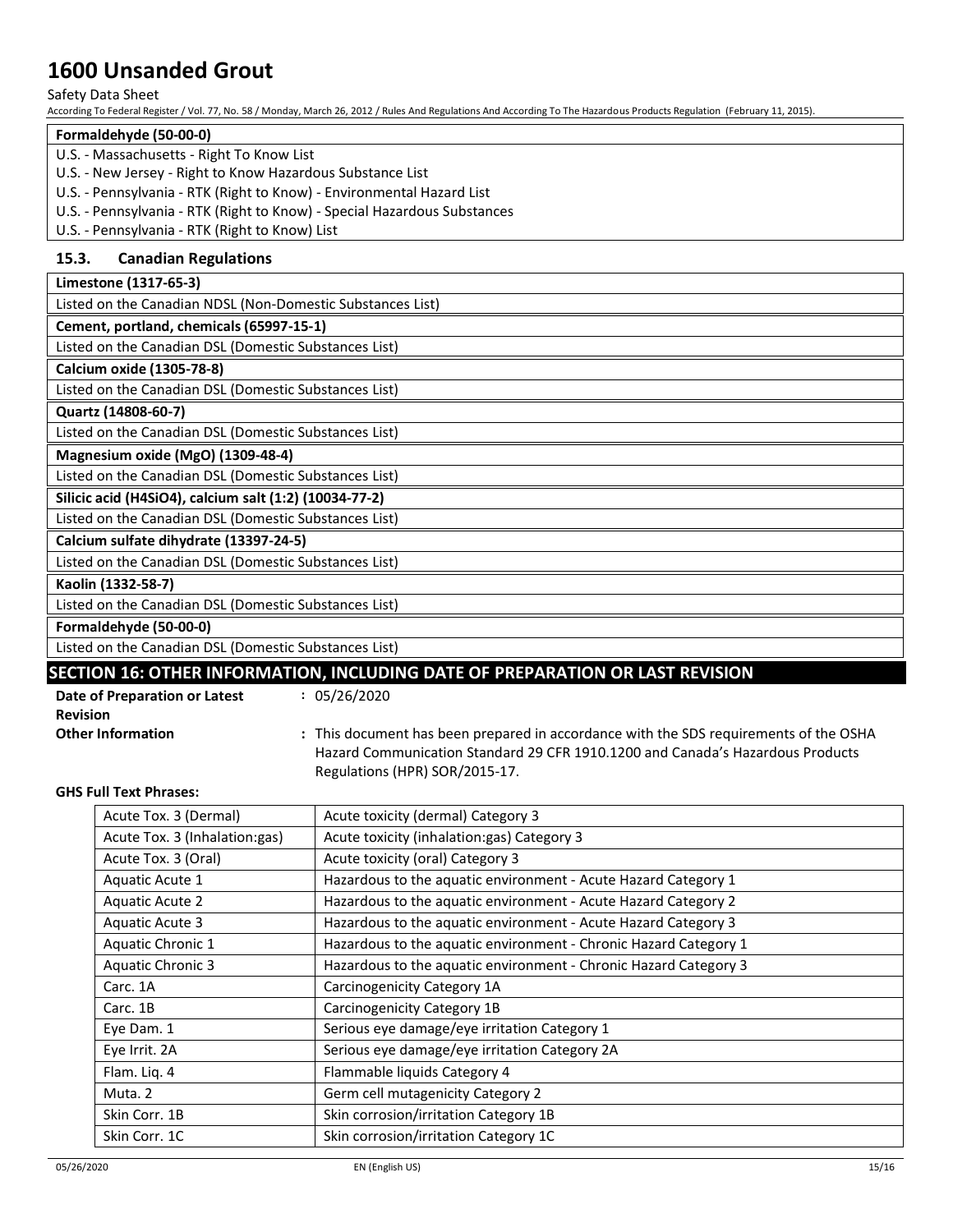### Safety Data Sheet

According To Federal Register / Vol. 77, No. 58 / Monday, March 26, 2012 / Rules And Regulations And According To The Hazardous Products Regulation (February 11, 2015).

### **Formaldehyde (50-00-0)**

- U.S. Massachusetts Right To Know List
- U.S. New Jersey Right to Know Hazardous Substance List
- U.S. Pennsylvania RTK (Right to Know) Environmental Hazard List
- U.S. Pennsylvania RTK (Right to Know) Special Hazardous Substances
- U.S. Pennsylvania RTK (Right to Know) List

## **15.3. Canadian Regulations**

| Limestone (1317-65-3)                                      |
|------------------------------------------------------------|
| Listed on the Canadian NDSL (Non-Domestic Substances List) |
| Cement, portland, chemicals (65997-15-1)                   |
| Listed on the Canadian DSL (Domestic Substances List)      |
| Calcium oxide (1305-78-8)                                  |
| Listed on the Canadian DSL (Domestic Substances List)      |
| Quartz (14808-60-7)                                        |
| Listed on the Canadian DSL (Domestic Substances List)      |
| Magnesium oxide (MgO) (1309-48-4)                          |
| Listed on the Canadian DSL (Domestic Substances List)      |
| Silicic acid (H4SiO4), calcium salt (1:2) (10034-77-2)     |
| Listed on the Canadian DSL (Domestic Substances List)      |
| Calcium sulfate dihydrate (13397-24-5)                     |
| Listed on the Canadian DSL (Domestic Substances List)      |
| Kaolin (1332-58-7)                                         |
| Listed on the Canadian DSL (Domestic Substances List)      |
| Formaldehyde (50-00-0)                                     |
| Listed on the Canadian DSL (Domestic Substances List)      |

## **SECTION 16: OTHER INFORMATION, INCLUDING DATE OF PREPARATION OR LAST REVISION**

**:** 05/26/2020

| Date of Preparation or Latest |
|-------------------------------|
| <b>Revision</b>               |
| <b>Other Information</b>      |
|                               |

**Other Information :** This document has been prepared in accordance with the SDS requirements of the OSHA Hazard Communication Standard 29 CFR 1910.1200 and Canada's Hazardous Products Regulations (HPR) SOR/2015-17.

### **GHS Full Text Phrases:**

| Acute Tox. 3 (Dermal)         | Acute toxicity (dermal) Category 3                               |  |
|-------------------------------|------------------------------------------------------------------|--|
| Acute Tox. 3 (Inhalation:gas) | Acute toxicity (inhalation: gas) Category 3                      |  |
| Acute Tox. 3 (Oral)           | Acute toxicity (oral) Category 3                                 |  |
| Aquatic Acute 1               | Hazardous to the aquatic environment - Acute Hazard Category 1   |  |
| Aquatic Acute 2               | Hazardous to the aquatic environment - Acute Hazard Category 2   |  |
| Aquatic Acute 3               | Hazardous to the aquatic environment - Acute Hazard Category 3   |  |
| Aquatic Chronic 1             | Hazardous to the aquatic environment - Chronic Hazard Category 1 |  |
| Aquatic Chronic 3             | Hazardous to the aquatic environment - Chronic Hazard Category 3 |  |
| Carc. 1A                      | Carcinogenicity Category 1A                                      |  |
| Carc. 1B                      | Carcinogenicity Category 1B                                      |  |
| Eye Dam. 1                    | Serious eye damage/eye irritation Category 1                     |  |
| Eye Irrit. 2A                 | Serious eye damage/eye irritation Category 2A                    |  |
| Flam. Liq. 4                  | Flammable liquids Category 4                                     |  |
| Muta. 2                       | Germ cell mutagenicity Category 2                                |  |
| Skin Corr. 1B                 | Skin corrosion/irritation Category 1B                            |  |
| Skin Corr. 1C                 | Skin corrosion/irritation Category 1C                            |  |